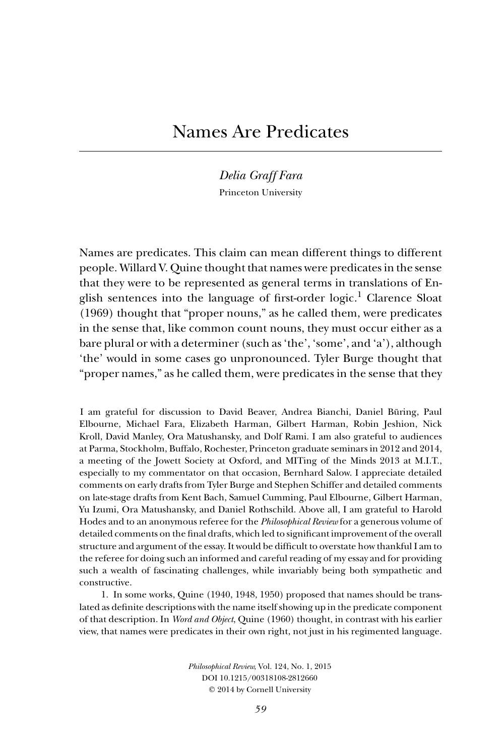# Names Are Predicates

Delia Graff Fara Princeton University

Names are predicates. This claim can mean different things to different people. Willard V. Quine thought that names were predicates in the sense that they were to be represented as general terms in translations of English sentences into the language of first-order logic.<sup>1</sup> Clarence Sloat (1969) thought that "proper nouns," as he called them, were predicates in the sense that, like common count nouns, they must occur either as a bare plural or with a determiner (such as 'the', 'some', and 'a'), although 'the' would in some cases go unpronounced. Tyler Burge thought that "proper names," as he called them, were predicates in the sense that they

I am grateful for discussion to David Beaver, Andrea Bianchi, Daniel Büring, Paul Elbourne, Michael Fara, Elizabeth Harman, Gilbert Harman, Robin Jeshion, Nick Kroll, David Manley, Ora Matushansky, and Dolf Rami. I am also grateful to audiences at Parma, Stockholm, Buffalo, Rochester, Princeton graduate seminars in 2012 and 2014, a meeting of the Jowett Society at Oxford, and MITing of the Minds 2013 at M.I.T., especially to my commentator on that occasion, Bernhard Salow. I appreciate detailed comments on early drafts from Tyler Burge and Stephen Schiffer and detailed comments on late-stage drafts from Kent Bach, Samuel Cumming, Paul Elbourne, Gilbert Harman, Yu Izumi, Ora Matushansky, and Daniel Rothschild. Above all, I am grateful to Harold Hodes and to an anonymous referee for the Philosophical Review for a generous volume of detailed comments on the final drafts, which led to significant improvement of the overall structure and argument of the essay. It would be difficult to overstate how thankful I am to the referee for doing such an informed and careful reading of my essay and for providing such a wealth of fascinating challenges, while invariably being both sympathetic and constructive.

1. In some works, Quine (1940, 1948, 1950) proposed that names should be translated as definite descriptions with the name itself showing up in the predicate component of that description. In Word and Object, Quine (1960) thought, in contrast with his earlier view, that names were predicates in their own right, not just in his regimented language.

> Philosophical Review, Vol. 124, No. 1, 2015 DOI 10.1215/00318108-2812660  $@ 2014$  by Cornell University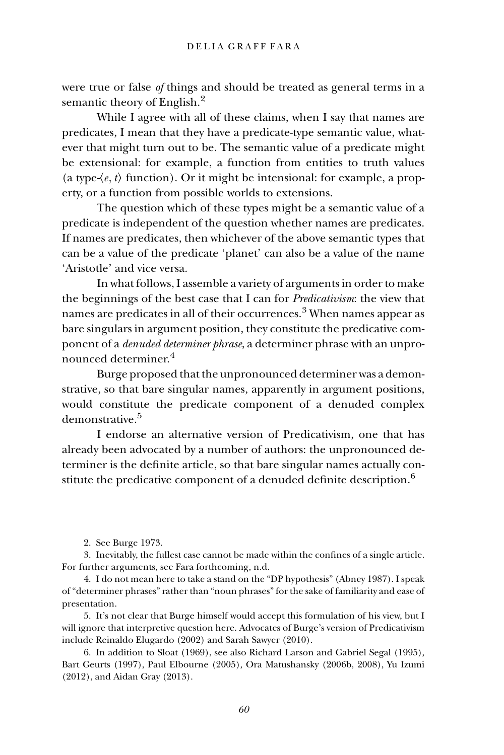were true or false of things and should be treated as general terms in a semantic theory of English.<sup>2</sup>

While I agree with all of these claims, when I say that names are predicates, I mean that they have a predicate-type semantic value, whatever that might turn out to be. The semantic value of a predicate might be extensional: for example, a function from entities to truth values (a type- $\langle e, t \rangle$  function). Or it might be intensional: for example, a property, or a function from possible worlds to extensions.

The question which of these types might be a semantic value of a predicate is independent of the question whether names are predicates. If names are predicates, then whichever of the above semantic types that can be a value of the predicate 'planet' can also be a value of the name 'Aristotle' and vice versa.

In what follows, I assemble a variety of arguments in order to make the beginnings of the best case that I can for Predicativism: the view that names are predicates in all of their occurrences.<sup>3</sup> When names appear as bare singulars in argument position, they constitute the predicative component of a denuded determiner phrase, a determiner phrase with an unpronounced determiner. $^4$ 

Burge proposed that the unpronounced determiner was a demonstrative, so that bare singular names, apparently in argument positions, would constitute the predicate component of a denuded complex demonstrative.<sup>5</sup>

I endorse an alternative version of Predicativism, one that has already been advocated by a number of authors: the unpronounced determiner is the definite article, so that bare singular names actually constitute the predicative component of a denuded definite description.<sup>6</sup>

2. See Burge 1973.

3. Inevitably, the fullest case cannot be made within the confines of a single article. For further arguments, see Fara forthcoming, n.d.

4. I do not mean here to take a stand on the "DP hypothesis" (Abney 1987). I speak of "determiner phrases" rather than "noun phrases" for the sake of familiarity and ease of presentation.

5. It's not clear that Burge himself would accept this formulation of his view, but I will ignore that interpretive question here. Advocates of Burge's version of Predicativism include Reinaldo Elugardo (2002) and Sarah Sawyer (2010).

6. In addition to Sloat (1969), see also Richard Larson and Gabriel Segal (1995), Bart Geurts (1997), Paul Elbourne (2005), Ora Matushansky (2006b, 2008), Yu Izumi (2012), and Aidan Gray (2013).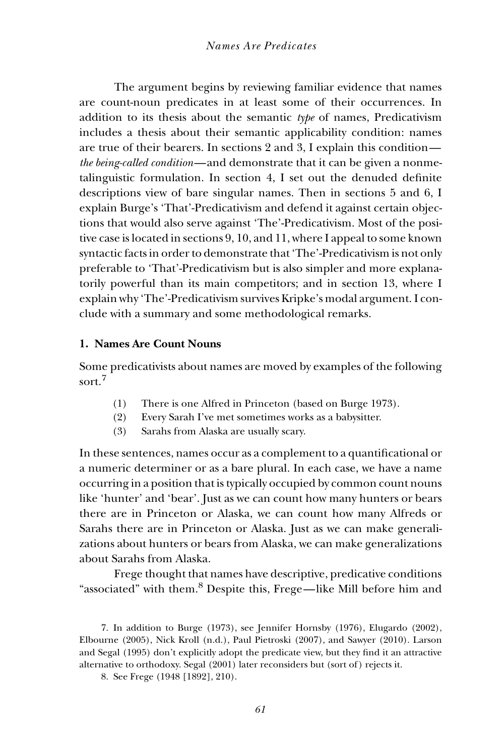The argument begins by reviewing familiar evidence that names are count-noun predicates in at least some of their occurrences. In addition to its thesis about the semantic  $\psi p e$  of names, Predicativism includes a thesis about their semantic applicability condition: names are true of their bearers. In sections 2 and 3, I explain this condition the being-called condition—and demonstrate that it can be given a nonmetalinguistic formulation. In section 4, I set out the denuded definite descriptions view of bare singular names. Then in sections 5 and 6, I explain Burge's 'That'-Predicativism and defend it against certain objections that would also serve against 'The'-Predicativism. Most of the positive case is located in sections 9, 10, and 11, where I appeal to some known syntactic facts in order to demonstrate that 'The'-Predicativism is not only preferable to 'That'-Predicativism but is also simpler and more explanatorily powerful than its main competitors; and in section 13, where I explain why 'The'-Predicativism survives Kripke's modal argument. I conclude with a summary and some methodological remarks.

### 1. Names Are Count Nouns

Some predicativists about names are moved by examples of the following sort<sup>7</sup>

- (1) There is one Alfred in Princeton (based on Burge 1973).
- (2) Every Sarah I've met sometimes works as a babysitter.
- (3) Sarahs from Alaska are usually scary.

In these sentences, names occur as a complement to a quantificational or a numeric determiner or as a bare plural. In each case, we have a name occurring in a position that is typically occupied by common count nouns like 'hunter' and 'bear'. Just as we can count how many hunters or bears there are in Princeton or Alaska, we can count how many Alfreds or Sarahs there are in Princeton or Alaska. Just as we can make generalizations about hunters or bears from Alaska, we can make generalizations about Sarahs from Alaska.

Frege thought that names have descriptive, predicative conditions "associated" with them.<sup>8</sup> Despite this, Frege—like Mill before him and

7. In addition to Burge (1973), see Jennifer Hornsby (1976), Elugardo (2002), Elbourne (2005), Nick Kroll (n.d.), Paul Pietroski (2007), and Sawyer (2010). Larson and Segal (1995) don't explicitly adopt the predicate view, but they find it an attractive alternative to orthodoxy. Segal (2001) later reconsiders but (sort of) rejects it.

8. See Frege (1948 [1892], 210).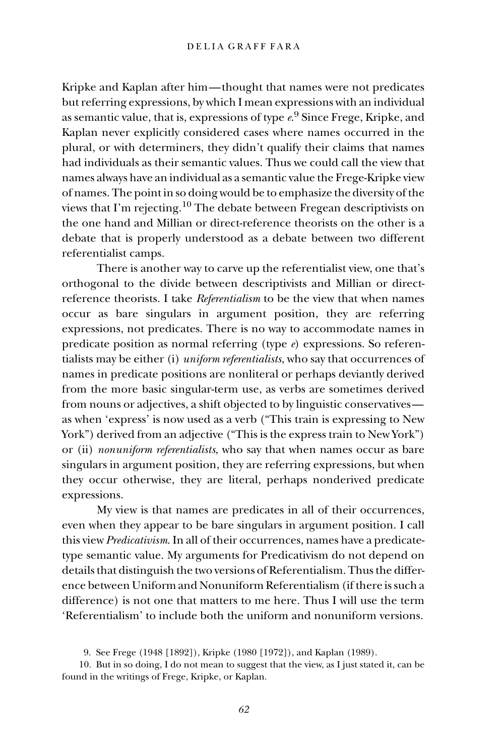Kripke and Kaplan after him—thought that names were not predicates but referring expressions, by which I mean expressions with an individual as semantic value, that is, expressions of type  $e^{.9}$  Since Frege, Kripke, and Kaplan never explicitly considered cases where names occurred in the plural, or with determiners, they didn't qualify their claims that names had individuals as their semantic values. Thus we could call the view that names always have an individual as a semantic value the Frege-Kripke view of names. The point in so doing would be to emphasize the diversity of the views that I'm rejecting.<sup>10</sup> The debate between Fregean descriptivists on the one hand and Millian or direct-reference theorists on the other is a debate that is properly understood as a debate between two different referentialist camps.

There is another way to carve up the referentialist view, one that's orthogonal to the divide between descriptivists and Millian or directreference theorists. I take Referentialism to be the view that when names occur as bare singulars in argument position, they are referring expressions, not predicates. There is no way to accommodate names in predicate position as normal referring (type e) expressions. So referentialists may be either (i) *uniform referentialists*, who say that occurrences of names in predicate positions are nonliteral or perhaps deviantly derived from the more basic singular-term use, as verbs are sometimes derived from nouns or adjectives, a shift objected to by linguistic conservatives as when 'express' is now used as a verb ("This train is expressing to New York") derived from an adjective ("This is the express train to New York") or (ii) nonuniform referentialists, who say that when names occur as bare singulars in argument position, they are referring expressions, but when they occur otherwise, they are literal, perhaps nonderived predicate expressions.

My view is that names are predicates in all of their occurrences, even when they appear to be bare singulars in argument position. I call this view Predicativism. In all of their occurrences, names have a predicatetype semantic value. My arguments for Predicativism do not depend on details that distinguish the two versions of Referentialism. Thus the difference between Uniform and Nonuniform Referentialism (if there is such a difference) is not one that matters to me here. Thus I will use the term 'Referentialism' to include both the uniform and nonuniform versions.

<sup>9.</sup> See Frege (1948 [1892]), Kripke (1980 [1972]), and Kaplan (1989).

<sup>10.</sup> But in so doing, I do not mean to suggest that the view, as I just stated it, can be found in the writings of Frege, Kripke, or Kaplan.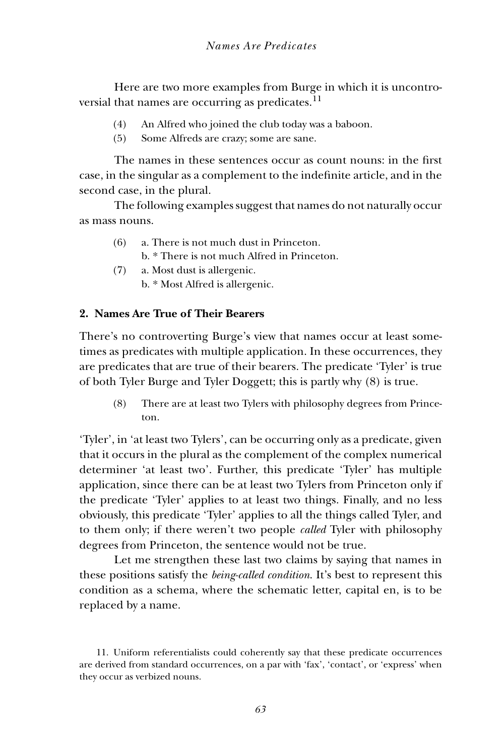Here are two more examples from Burge in which it is uncontroversial that names are occurring as predicates.<sup>11</sup>

- (4) An Alfred who joined the club today was a baboon.
- (5) Some Alfreds are crazy; some are sane.

The names in these sentences occur as count nouns: in the first case, in the singular as a complement to the indefinite article, and in the second case, in the plural.

The following examples suggest that names do not naturally occur as mass nouns.

- (6) a. There is not much dust in Princeton.
	- b. \* There is not much Alfred in Princeton.
- (7) a. Most dust is allergenic. b. \* Most Alfred is allergenic.

# 2. Names Are True of Their Bearers

There's no controverting Burge's view that names occur at least sometimes as predicates with multiple application. In these occurrences, they are predicates that are true of their bearers. The predicate 'Tyler' is true of both Tyler Burge and Tyler Doggett; this is partly why (8) is true.

(8) There are at least two Tylers with philosophy degrees from Princeton.

'Tyler', in 'at least two Tylers', can be occurring only as a predicate, given that it occurs in the plural as the complement of the complex numerical determiner 'at least two'. Further, this predicate 'Tyler' has multiple application, since there can be at least two Tylers from Princeton only if the predicate 'Tyler' applies to at least two things. Finally, and no less obviously, this predicate 'Tyler' applies to all the things called Tyler, and to them only; if there weren't two people called Tyler with philosophy degrees from Princeton, the sentence would not be true.

Let me strengthen these last two claims by saying that names in these positions satisfy the being-called condition. It's best to represent this condition as a schema, where the schematic letter, capital en, is to be replaced by a name.

11. Uniform referentialists could coherently say that these predicate occurrences are derived from standard occurrences, on a par with 'fax', 'contact', or 'express' when they occur as verbized nouns.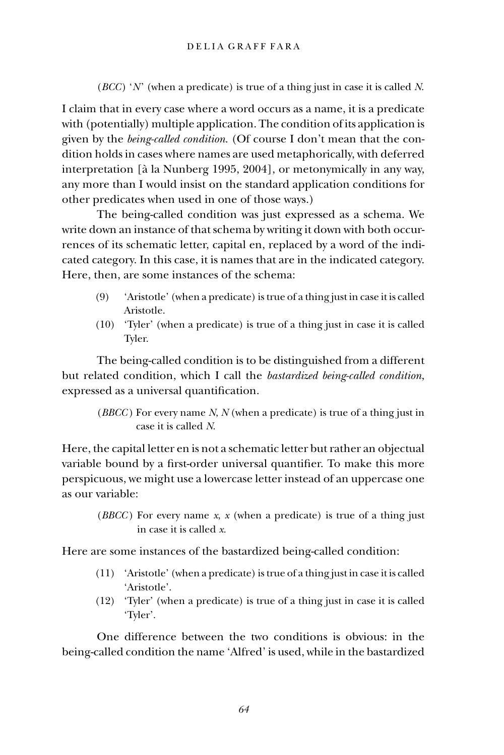$(BCC)$  'N' (when a predicate) is true of a thing just in case it is called N.

I claim that in every case where a word occurs as a name, it is a predicate with (potentially) multiple application. The condition of its application is given by the *being-called condition*. (Of course I don't mean that the condition holds in cases where names are used metaphorically, with deferred interpretation [a` la Nunberg 1995, 2004], or metonymically in any way, any more than I would insist on the standard application conditions for other predicates when used in one of those ways.)

The being-called condition was just expressed as a schema. We write down an instance of that schema by writing it down with both occurrences of its schematic letter, capital en, replaced by a word of the indicated category. In this case, it is names that are in the indicated category. Here, then, are some instances of the schema:

- (9) 'Aristotle' (when a predicate) is true of a thing just in case it is called Aristotle.
- (10) 'Tyler' (when a predicate) is true of a thing just in case it is called Tyler.

The being-called condition is to be distinguished from a different but related condition, which I call the bastardized being-called condition, expressed as a universal quantification.

(BBCC) For every name  $N$ ,  $N$  (when a predicate) is true of a thing just in case it is called N.

Here, the capital letter en is not a schematic letter but rather an objectual variable bound by a first-order universal quantifier. To make this more perspicuous, we might use a lowercase letter instead of an uppercase one as our variable:

(BBCC) For every name  $x$ ,  $x$  (when a predicate) is true of a thing just in case it is called x.

Here are some instances of the bastardized being-called condition:

- (11) 'Aristotle' (when a predicate) is true of a thing just in case it is called 'Aristotle'.
- (12) 'Tyler' (when a predicate) is true of a thing just in case it is called 'Tyler'.

One difference between the two conditions is obvious: in the being-called condition the name 'Alfred' is used, while in the bastardized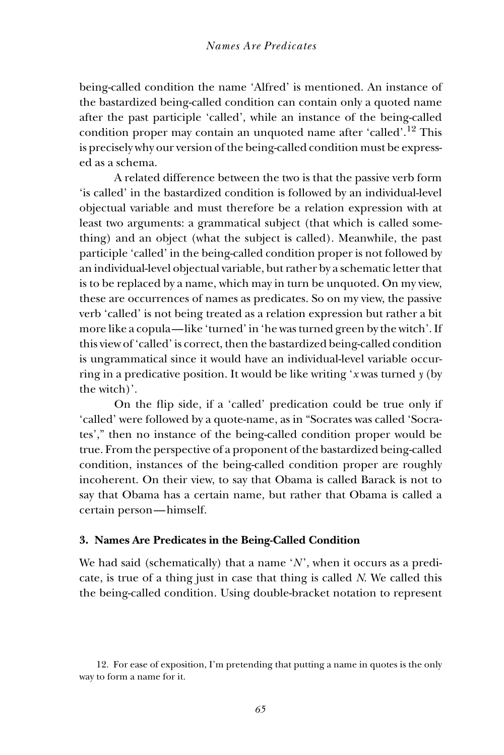being-called condition the name 'Alfred' is mentioned. An instance of the bastardized being-called condition can contain only a quoted name after the past participle 'called', while an instance of the being-called condition proper may contain an unquoted name after 'called'.<sup>12</sup> This is precisely why our version of the being-called condition must be expressed as a schema.

A related difference between the two is that the passive verb form 'is called' in the bastardized condition is followed by an individual-level objectual variable and must therefore be a relation expression with at least two arguments: a grammatical subject (that which is called something) and an object (what the subject is called). Meanwhile, the past participle 'called' in the being-called condition proper is not followed by an individual-level objectual variable, but rather by a schematic letter that is to be replaced by a name, which may in turn be unquoted. On my view, these are occurrences of names as predicates. So on my view, the passive verb 'called' is not being treated as a relation expression but rather a bit more like a copula—like 'turned' in 'he was turned green by the witch'. If this view of 'called' is correct, then the bastardized being-called condition is ungrammatical since it would have an individual-level variable occurring in a predicative position. It would be like writing 'x was turned  $y$  (by the witch)'.

On the flip side, if a 'called' predication could be true only if 'called' were followed by a quote-name, as in "Socrates was called 'Socrates'," then no instance of the being-called condition proper would be true. From the perspective of a proponent of the bastardized being-called condition, instances of the being-called condition proper are roughly incoherent. On their view, to say that Obama is called Barack is not to say that Obama has a certain name, but rather that Obama is called a certain person—himself.

### 3. Names Are Predicates in the Being-Called Condition

We had said (schematically) that a name ' $N$ ', when it occurs as a predicate, is true of a thing just in case that thing is called N. We called this the being-called condition. Using double-bracket notation to represent

<sup>12.</sup> For ease of exposition, I'm pretending that putting a name in quotes is the only way to form a name for it.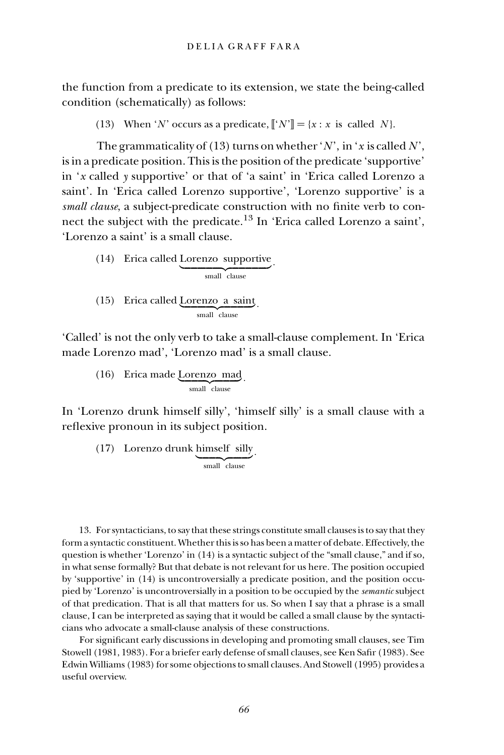the function from a predicate to its extension, we state the being-called condition (schematically) as follows:

(13) When 'N' occurs as a predicate,  $\llbracket$ 'N' $\rrbracket = \{x : x \text{ is called } N \}.$ 

The grammaticality of (13) turns on whether 'N', in 'x is called N', is in a predicate position. This is the position of the predicate 'supportive' in 'x called y supportive' or that of 'a saint' in 'Erica called Lorenzo a saint'. In 'Erica called Lorenzo supportive', 'Lorenzo supportive' is a small clause, a subject-predicate construction with no finite verb to connect the subject with the predicate.<sup>13</sup> In 'Erica called Lorenzo a saint', 'Lorenzo a saint' is a small clause.

- (14) Erica called Lorenzo supportive  $\frac{1}{\text{small}}$  clause :
- (15) Erica called  $\underbrace{\text{Lorenzo a saint}}_{small \text{ clause}}$ .

'Called' is not the only verb to take a small-clause complement. In 'Erica made Lorenzo mad', 'Lorenzo mad' is a small clause.

(16) Erica made  $\underbrace{\text{Lorenzo mad}}_{small \text{ clause}}$ .

In 'Lorenzo drunk himself silly', 'himself silly' is a small clause with a reflexive pronoun in its subject position.

(17) Lorenzo drunk himself silly :

 $\overline{\phantom{a}}$  small clause

13. For syntacticians, to say that these strings constitute small clauses is to say that they form a syntactic constituent. Whether this is so has been a matter of debate. Effectively, the question is whether 'Lorenzo' in (14) is a syntactic subject of the "small clause," and if so, in what sense formally? But that debate is not relevant for us here. The position occupied by 'supportive' in (14) is uncontroversially a predicate position, and the position occupied by 'Lorenzo' is uncontroversially in a position to be occupied by the *semantic* subject of that predication. That is all that matters for us. So when I say that a phrase is a small clause, I can be interpreted as saying that it would be called a small clause by the syntacticians who advocate a small-clause analysis of these constructions.

For significant early discussions in developing and promoting small clauses, see Tim Stowell (1981, 1983). For a briefer early defense of small clauses, see Ken Safir (1983). See Edwin Williams (1983) for some objections to small clauses. And Stowell (1995) provides a useful overview.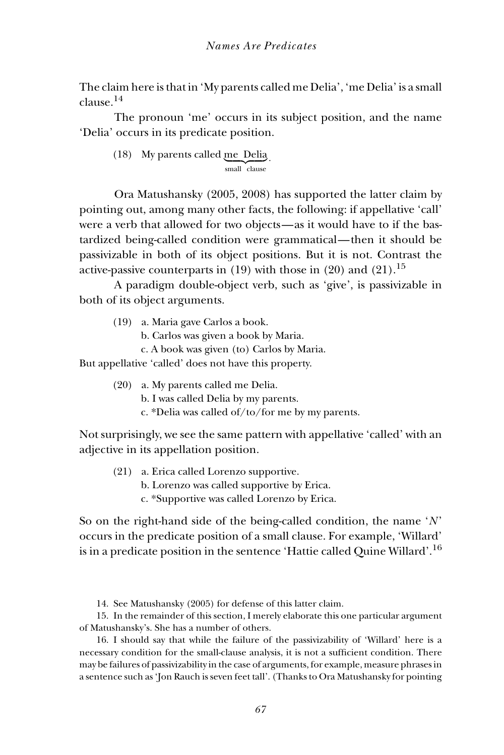The claim here is that in 'My parents called me Delia', 'me Delia' is a small clause.14

The pronoun 'me' occurs in its subject position, and the name 'Delia' occurs in its predicate position.

(18) My parents called  $\underbrace{\text{me} \text{ Delia}}$ .

small clause

Ora Matushansky (2005, 2008) has supported the latter claim by pointing out, among many other facts, the following: if appellative 'call' were a verb that allowed for two objects—as it would have to if the bastardized being-called condition were grammatical—then it should be passivizable in both of its object positions. But it is not. Contrast the active-passive counterparts in  $(19)$  with those in  $(20)$  and  $(21)$ .<sup>15</sup>

A paradigm double-object verb, such as 'give', is passivizable in both of its object arguments.

- (19) a. Maria gave Carlos a book.
	- b. Carlos was given a book by Maria.
	- c. A book was given (to) Carlos by Maria.

But appellative 'called' does not have this property.

- (20) a. My parents called me Delia.
	- b. I was called Delia by my parents.
	- c. \*Delia was called of/to/for me by my parents.

Not surprisingly, we see the same pattern with appellative 'called' with an adjective in its appellation position.

- (21) a. Erica called Lorenzo supportive. b. Lorenzo was called supportive by Erica.
	- c. \*Supportive was called Lorenzo by Erica.

So on the right-hand side of the being-called condition, the name  $'N'$ occurs in the predicate position of a small clause. For example, 'Willard' is in a predicate position in the sentence 'Hattie called Quine Willard'.<sup>16</sup>

14. See Matushansky (2005) for defense of this latter claim.

15. In the remainder of this section, I merely elaborate this one particular argument of Matushansky's. She has a number of others.

16. I should say that while the failure of the passivizability of 'Willard' here is a necessary condition for the small-clause analysis, it is not a sufficient condition. There may be failures of passivizability in the case of arguments, for example, measure phrases in a sentence such as 'Jon Rauch is seven feet tall'. (Thanks to Ora Matushansky for pointing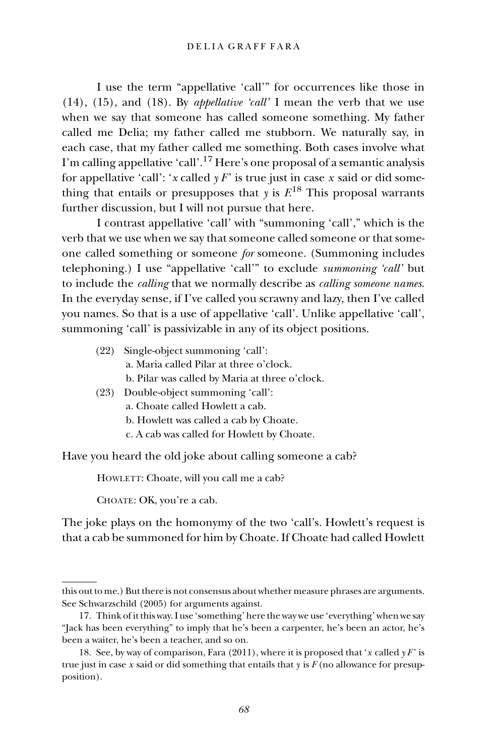I use the term "appellative 'call'" for occurrences like those in  $(14)$ ,  $(15)$ , and  $(18)$ . By *appellative 'call'* I mean the verb that we use when we say that someone has called someone something. My father called me Delia; my father called me stubborn. We naturally say, in each case, that my father called me something. Both cases involve what I'm calling appellative 'call'.<sup>17</sup> Here's one proposal of a semantic analysis for appellative 'call': 'x called  $\gamma F$ ' is true just in case x said or did something that entails or presupposes that  $y$  is  $F^{18}$  This proposal warrants further discussion, but I will not pursue that here.

I contrast appellative 'call' with "summoning 'call'," which is the verb that we use when we say that someone called someone or that someone called something or someone for someone. (Summoning includes telephoning.) I use "appellative 'call'" to exclude summoning 'call' but to include the *calling* that we normally describe as *calling someone names*. In the everyday sense, if I've called you scrawny and lazy, then I've called you names. So that is a use of appellative 'call'. Unlike appellative 'call', summoning 'call' is passivizable in any of its object positions.

- (22) Single-object summoning 'call': a. Maria called Pilar at three o'clock. b. Pilar was called by Maria at three o'clock.
- (23) Double-object summoning 'call': a. Choate called Howlett a cab. b. Howlett was called a cab by Choate.
	- c. A cab was called for Howlett by Choate.

Have you heard the old joke about calling someone a cab?

HOWLETT: Choate, will you call me a cab?

CHOATE: OK, you're a cab.

The joke plays on the homonymy of the two 'call's. Howlett's request is that a cab be summoned for him by Choate. If Choate had called Howlett

this out to me.) But there is not consensus about whether measure phrases are arguments. See Schwarzschild (2005) for arguments against.

<sup>17.</sup> Think of it this way. I use 'something' here the way we use 'everything' when we say "Jack has been everything" to imply that he's been a carpenter, he's been an actor, he's been a waiter, he's been a teacher, and so on.

<sup>18.</sup> See, by way of comparison, Fara (2011), where it is proposed that 'x called  $y F$ ' is true just in case x said or did something that entails that  $y$  is  $F$  (no allowance for presupposition).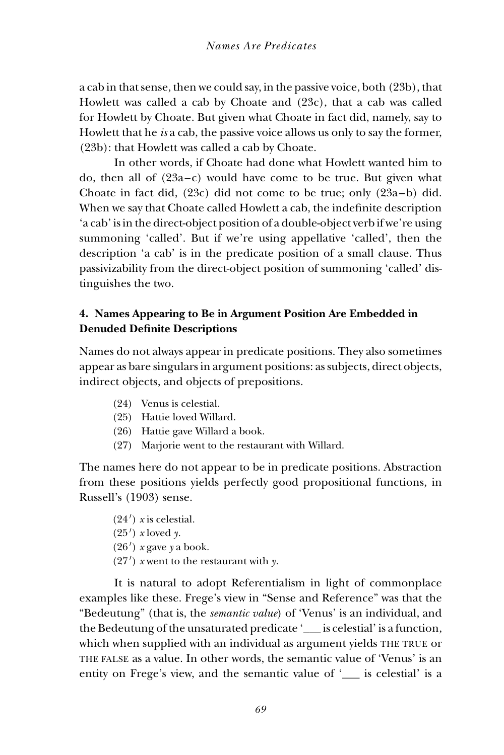a cab in that sense, then we could say, in the passive voice, both (23b), that Howlett was called a cab by Choate and (23c), that a cab was called for Howlett by Choate. But given what Choate in fact did, namely, say to Howlett that he is a cab, the passive voice allows us only to say the former, (23b): that Howlett was called a cab by Choate.

In other words, if Choate had done what Howlett wanted him to do, then all of (23a–c) would have come to be true. But given what Choate in fact did, (23c) did not come to be true; only (23a–b) did. When we say that Choate called Howlett a cab, the indefinite description 'a cab' is in the direct-object position of a double-object verb if we're using summoning 'called'. But if we're using appellative 'called', then the description 'a cab' is in the predicate position of a small clause. Thus passivizability from the direct-object position of summoning 'called' distinguishes the two.

# 4. Names Appearing to Be in Argument Position Are Embedded in Denuded Definite Descriptions

Names do not always appear in predicate positions. They also sometimes appear as bare singulars in argument positions: as subjects, direct objects, indirect objects, and objects of prepositions.

- (24) Venus is celestial.
- (25) Hattie loved Willard.
- (26) Hattie gave Willard a book.
- (27) Marjorie went to the restaurant with Willard.

The names here do not appear to be in predicate positions. Abstraction from these positions yields perfectly good propositional functions, in Russell's (1903) sense.

 $(24')$  x is celestial.  $(25')$  x loved y.  $(26')$  x gave y a book.  $(27')$  *x* went to the restaurant with *y*.

It is natural to adopt Referentialism in light of commonplace examples like these. Frege's view in "Sense and Reference" was that the "Bedeutung" (that is, the semantic value) of 'Venus' is an individual, and the Bedeutung of the unsaturated predicate '\_\_\_ is celestial' is a function, which when supplied with an individual as argument yields THE TRUE or THE FALSE as a value. In other words, the semantic value of 'Venus' is an entity on Frege's view, and the semantic value of '\_\_\_ is celestial' is a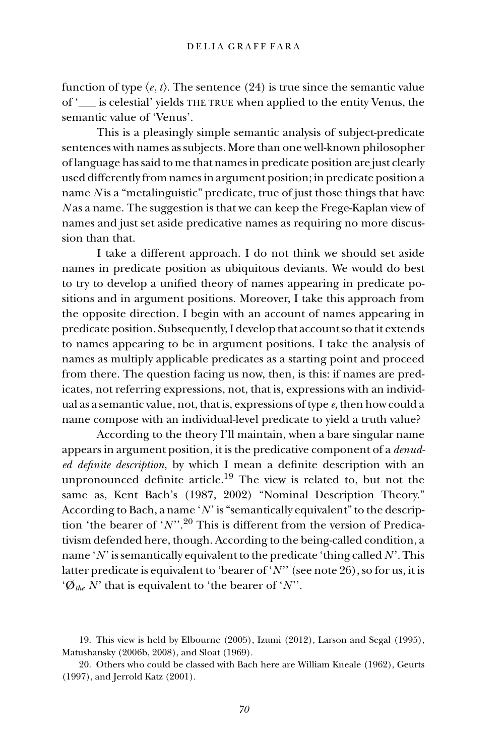function of type  $\langle e, t \rangle$ . The sentence (24) is true since the semantic value of '\_\_\_ is celestial' yields THE TRUE when applied to the entity Venus, the semantic value of 'Venus'.

This is a pleasingly simple semantic analysis of subject-predicate sentences with names as subjects. More than one well-known philosopher of language has said to me that names in predicate position are just clearly used differently from names in argument position; in predicate position a name N is a "metalinguistic" predicate, true of just those things that have  $N$ as a name. The suggestion is that we can keep the Frege-Kaplan view of names and just set aside predicative names as requiring no more discussion than that.

I take a different approach. I do not think we should set aside names in predicate position as ubiquitous deviants. We would do best to try to develop a unified theory of names appearing in predicate positions and in argument positions. Moreover, I take this approach from the opposite direction. I begin with an account of names appearing in predicate position. Subsequently, I develop that account so that it extends to names appearing to be in argument positions. I take the analysis of names as multiply applicable predicates as a starting point and proceed from there. The question facing us now, then, is this: if names are predicates, not referring expressions, not, that is, expressions with an individual as a semantic value, not, that is, expressions of type  $e$ , then how could a name compose with an individual-level predicate to yield a truth value?

According to the theory I'll maintain, when a bare singular name appears in argument position, it is the predicative component of a denuded definite description, by which I mean a definite description with an unpronounced definite article.<sup>19</sup> The view is related to, but not the same as, Kent Bach's (1987, 2002) "Nominal Description Theory." According to Bach, a name 'N' is "semantically equivalent" to the description 'the bearer of ' $N$ ".<sup>20</sup> This is different from the version of Predicativism defended here, though. According to the being-called condition, a name 'N' is semantically equivalent to the predicate 'thing called  $N'$ . This latter predicate is equivalent to 'bearer of 'N" (see note 26), so for us, it is  $\mathcal{O}_{the}$  N' that is equivalent to 'the bearer of 'N''.

<sup>19.</sup> This view is held by Elbourne (2005), Izumi (2012), Larson and Segal (1995), Matushansky (2006b, 2008), and Sloat (1969).

<sup>20.</sup> Others who could be classed with Bach here are William Kneale (1962), Geurts (1997), and Jerrold Katz (2001).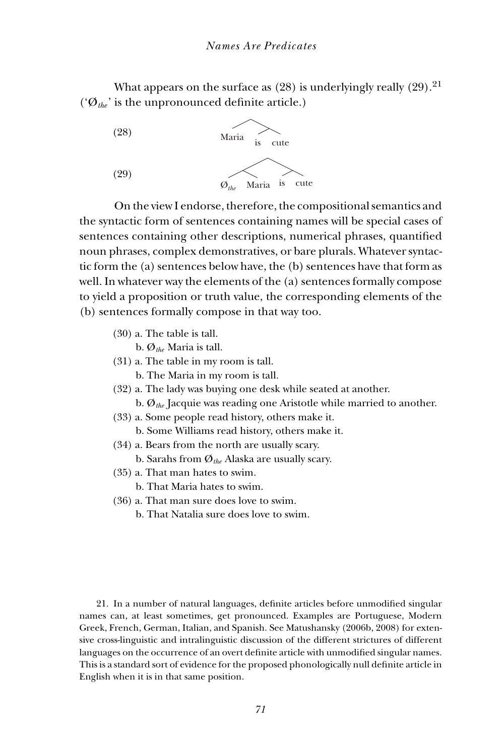What appears on the surface as  $(28)$  is underlyingly really  $(29)$ .<sup>21</sup>  $(\mathcal{O}_{the})$  is the unpronounced definite article.)



On the view I endorse, therefore, the compositional semantics and the syntactic form of sentences containing names will be special cases of sentences containing other descriptions, numerical phrases, quantified noun phrases, complex demonstratives, or bare plurals. Whatever syntactic form the (a) sentences below have, the (b) sentences have that form as well. In whatever way the elements of the (a) sentences formally compose to yield a proposition or truth value, the corresponding elements of the (b) sentences formally compose in that way too.

(30) a. The table is tall.

b.  $\mathcal{O}_{the}$  Maria is tall.

- (31) a. The table in my room is tall.
	- b. The Maria in my room is tall.
- (32) a. The lady was buying one desk while seated at another.
	- b.  $\mathcal{O}_{the}$  Jacquie was reading one Aristotle while married to another.
- (33) a. Some people read history, others make it.
	- b. Some Williams read history, others make it.
- (34) a. Bears from the north are usually scary. b. Sarahs from  $\mathcal{O}_{the}$  Alaska are usually scary.
- (35) a. That man hates to swim.
	- b. That Maria hates to swim.
- (36) a. That man sure does love to swim.
	- b. That Natalia sure does love to swim.

21. In a number of natural languages, definite articles before unmodified singular names can, at least sometimes, get pronounced. Examples are Portuguese, Modern Greek, French, German, Italian, and Spanish. See Matushansky (2006b, 2008) for extensive cross-linguistic and intralinguistic discussion of the different strictures of different languages on the occurrence of an overt definite article with unmodified singular names. This is a standard sort of evidence for the proposed phonologically null definite article in English when it is in that same position.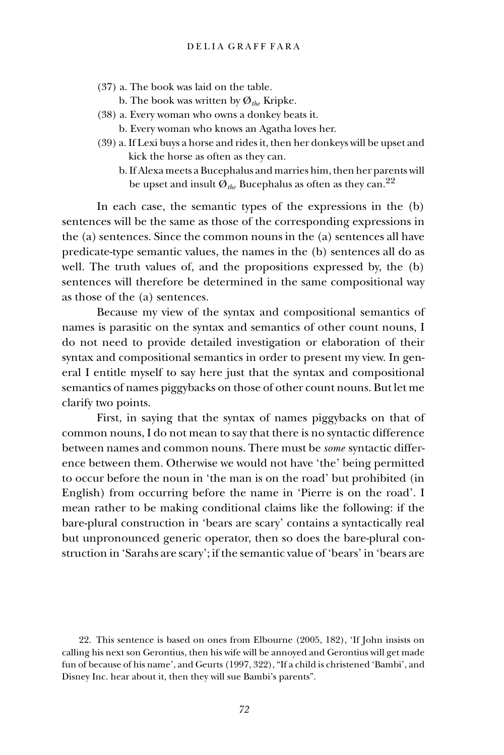(37) a. The book was laid on the table.

b. The book was written by  $\mathcal{O}_{the}$  Kripke.

- (38) a. Every woman who owns a donkey beats it.
	- b. Every woman who knows an Agatha loves her.
- (39) a. If Lexi buys a horse and rides it, then her donkeys will be upset and kick the horse as often as they can.
	- b. If Alexa meets a Bucephalus and marries him, then her parents will be upset and insult  $\mathcal{O}_{the}$  Bucephalus as often as they can.<sup>22</sup>

In each case, the semantic types of the expressions in the (b) sentences will be the same as those of the corresponding expressions in the (a) sentences. Since the common nouns in the (a) sentences all have predicate-type semantic values, the names in the (b) sentences all do as well. The truth values of, and the propositions expressed by, the (b) sentences will therefore be determined in the same compositional way as those of the (a) sentences.

Because my view of the syntax and compositional semantics of names is parasitic on the syntax and semantics of other count nouns, I do not need to provide detailed investigation or elaboration of their syntax and compositional semantics in order to present my view. In general I entitle myself to say here just that the syntax and compositional semantics of names piggybacks on those of other count nouns. But let me clarify two points.

First, in saying that the syntax of names piggybacks on that of common nouns, I do not mean to say that there is no syntactic difference between names and common nouns. There must be some syntactic difference between them. Otherwise we would not have 'the' being permitted to occur before the noun in 'the man is on the road' but prohibited (in English) from occurring before the name in 'Pierre is on the road'. I mean rather to be making conditional claims like the following: if the bare-plural construction in 'bears are scary' contains a syntactically real but unpronounced generic operator, then so does the bare-plural construction in 'Sarahs are scary'; if the semantic value of 'bears' in 'bears are

22. This sentence is based on ones from Elbourne (2005, 182), 'If John insists on calling his next son Gerontius, then his wife will be annoyed and Gerontius will get made fun of because of his name', and Geurts (1997, 322), "If a child is christened 'Bambi', and Disney Inc. hear about it, then they will sue Bambi's parents".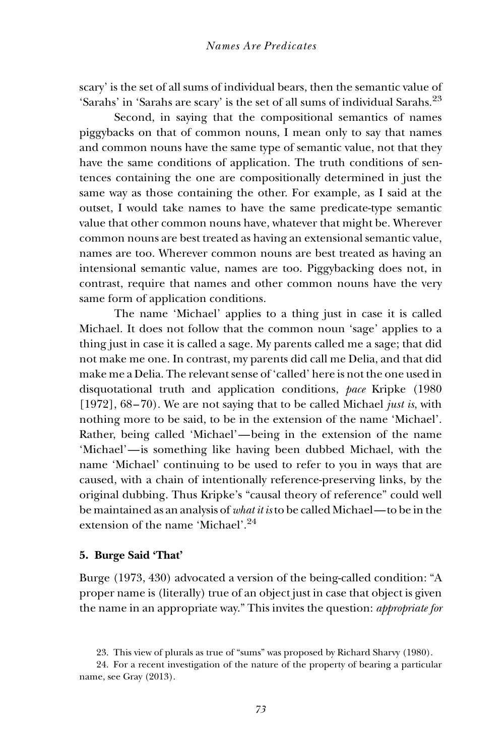scary' is the set of all sums of individual bears, then the semantic value of 'Sarahs' in 'Sarahs are scary' is the set of all sums of individual Sarahs.<sup>23</sup>

Second, in saying that the compositional semantics of names piggybacks on that of common nouns, I mean only to say that names and common nouns have the same type of semantic value, not that they have the same conditions of application. The truth conditions of sentences containing the one are compositionally determined in just the same way as those containing the other. For example, as I said at the outset, I would take names to have the same predicate-type semantic value that other common nouns have, whatever that might be. Wherever common nouns are best treated as having an extensional semantic value, names are too. Wherever common nouns are best treated as having an intensional semantic value, names are too. Piggybacking does not, in contrast, require that names and other common nouns have the very same form of application conditions.

The name 'Michael' applies to a thing just in case it is called Michael. It does not follow that the common noun 'sage' applies to a thing just in case it is called a sage. My parents called me a sage; that did not make me one. In contrast, my parents did call me Delia, and that did make me a Delia. The relevant sense of 'called' here is not the one used in disquotational truth and application conditions, pace Kripke (1980 [1972],  $68-70$ ). We are not saying that to be called Michael just is, with nothing more to be said, to be in the extension of the name 'Michael'. Rather, being called 'Michael'—being in the extension of the name 'Michael'—is something like having been dubbed Michael, with the name 'Michael' continuing to be used to refer to you in ways that are caused, with a chain of intentionally reference-preserving links, by the original dubbing. Thus Kripke's "causal theory of reference" could well be maintained as an analysis of what it isto be called Michael—to be in the extension of the name 'Michael'.<sup>24</sup>

#### 5. Burge Said 'That'

Burge (1973, 430) advocated a version of the being-called condition: "A proper name is (literally) true of an object just in case that object is given the name in an appropriate way." This invites the question: *appropriate for* 

<sup>23.</sup> This view of plurals as true of "sums" was proposed by Richard Sharvy (1980).

<sup>24.</sup> For a recent investigation of the nature of the property of bearing a particular name, see Gray (2013).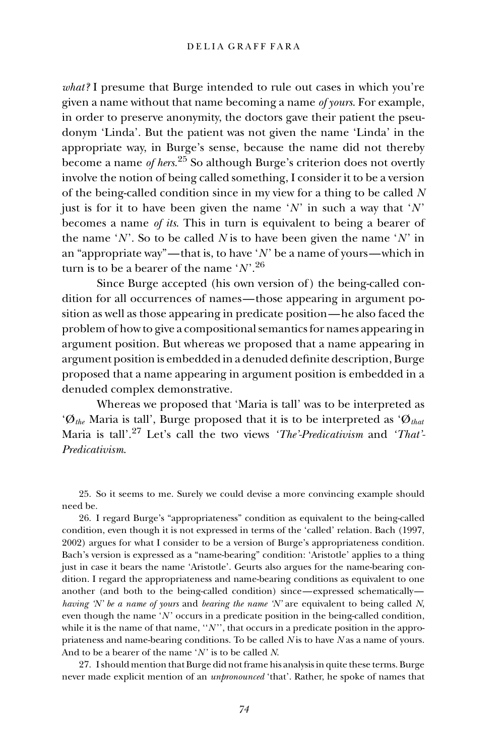what? I presume that Burge intended to rule out cases in which you're given a name without that name becoming a name *of yours*. For example, in order to preserve anonymity, the doctors gave their patient the pseudonym 'Linda'. But the patient was not given the name 'Linda' in the appropriate way, in Burge's sense, because the name did not thereby become a name *of hers*.<sup>25</sup> So although Burge's criterion does not overtly involve the notion of being called something, I consider it to be a version of the being-called condition since in my view for a thing to be called  $N$ just is for it to have been given the name 'N' in such a way that 'N' becomes a name of its. This in turn is equivalent to being a bearer of the name 'N'. So to be called N is to have been given the name 'N' in an "appropriate way"—that is, to have 'N' be a name of yours—which in turn is to be a bearer of the name 'N'.<sup>26</sup>

Since Burge accepted (his own version of) the being-called condition for all occurrences of names—those appearing in argument position as well as those appearing in predicate position—he also faced the problem of how to give a compositional semantics for names appearing in argument position. But whereas we proposed that a name appearing in argument position is embedded in a denuded definite description, Burge proposed that a name appearing in argument position is embedded in a denuded complex demonstrative.

Whereas we proposed that 'Maria is tall' was to be interpreted as ' $\mathcal{O}_{the}$  Maria is tall', Burge proposed that it is to be interpreted as ' $\mathcal{O}_{that}$ Maria is tall'.<sup>27</sup> Let's call the two views 'The'-Predicativism and 'That'- Predicativism.

25. So it seems to me. Surely we could devise a more convincing example should need be.

26. I regard Burge's "appropriateness" condition as equivalent to the being-called condition, even though it is not expressed in terms of the 'called' relation. Bach (1997, 2002) argues for what I consider to be a version of Burge's appropriateness condition. Bach's version is expressed as a "name-bearing" condition: 'Aristotle' applies to a thing just in case it bears the name 'Aristotle'. Geurts also argues for the name-bearing condition. I regard the appropriateness and name-bearing conditions as equivalent to one another (and both to the being-called condition) since—expressed schematically having 'N' be a name of yours and bearing the name 'N' are equivalent to being called  $N$ , even though the name 'N' occurs in a predicate position in the being-called condition, while it is the name of that name, " $N$ ", that occurs in a predicate position in the appropriateness and name-bearing conditions. To be called  $N$  is to have  $N$  as a name of yours. And to be a bearer of the name ' $N$ ' is to be called  $N$ .

27. I should mention that Burge did not frame his analysis in quite these terms. Burge never made explicit mention of an *unpronounced* 'that'. Rather, he spoke of names that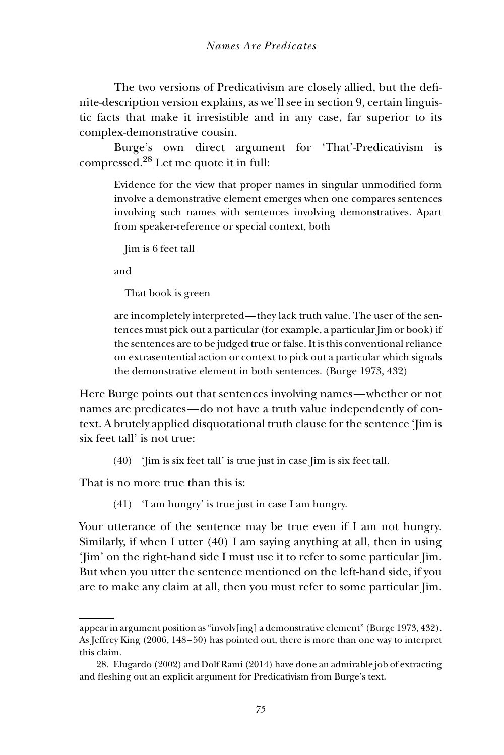The two versions of Predicativism are closely allied, but the definite-description version explains, as we'll see in section 9, certain linguistic facts that make it irresistible and in any case, far superior to its complex-demonstrative cousin.

Burge's own direct argument for 'That'-Predicativism is compressed.28 Let me quote it in full:

Evidence for the view that proper names in singular unmodified form involve a demonstrative element emerges when one compares sentences involving such names with sentences involving demonstratives. Apart from speaker-reference or special context, both

Jim is 6 feet tall

and

That book is green

are incompletely interpreted—they lack truth value. The user of the sentences must pick out a particular (for example, a particular Jim or book) if the sentences are to be judged true or false. It is this conventional reliance on extrasentential action or context to pick out a particular which signals the demonstrative element in both sentences. (Burge 1973, 432)

Here Burge points out that sentences involving names—whether or not names are predicates—do not have a truth value independently of context. A brutely applied disquotational truth clause for the sentence 'Jim is six feet tall' is not true:

(40) 'Jim is six feet tall' is true just in case Jim is six feet tall.

That is no more true than this is:

(41) 'I am hungry' is true just in case I am hungry.

Your utterance of the sentence may be true even if I am not hungry. Similarly, if when I utter (40) I am saying anything at all, then in using 'Jim' on the right-hand side I must use it to refer to some particular Jim. But when you utter the sentence mentioned on the left-hand side, if you are to make any claim at all, then you must refer to some particular Jim.

appear in argument position as "involv[ing] a demonstrative element" (Burge 1973, 432). As Jeffrey King (2006, 148–50) has pointed out, there is more than one way to interpret this claim.

<sup>28.</sup> Elugardo (2002) and Dolf Rami (2014) have done an admirable job of extracting and fleshing out an explicit argument for Predicativism from Burge's text.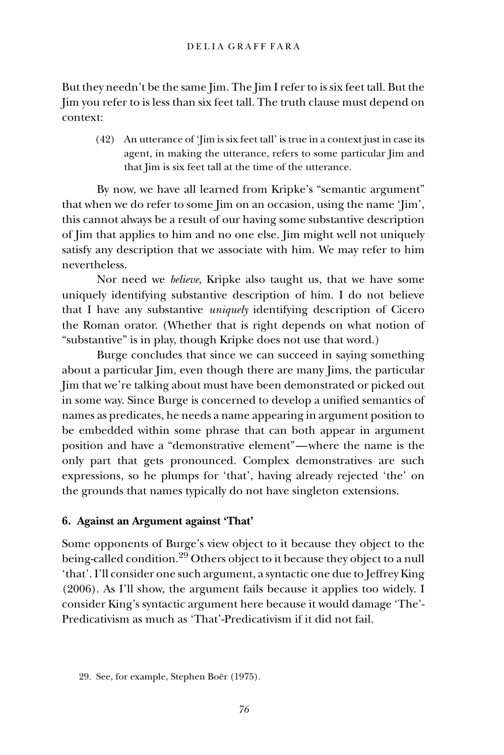But they needn't be the same Jim. The Jim I refer to is six feet tall. But the Jim you refer to is less than six feet tall. The truth clause must depend on context:

(42) An utterance of 'Jim is six feet tall' is true in a context just in case its agent, in making the utterance, refers to some particular Jim and that Jim is six feet tall at the time of the utterance.

By now, we have all learned from Kripke's "semantic argument" that when we do refer to some Jim on an occasion, using the name 'Jim', this cannot always be a result of our having some substantive description of Jim that applies to him and no one else. Jim might well not uniquely satisfy any description that we associate with him. We may refer to him nevertheless.

Nor need we believe, Kripke also taught us, that we have some uniquely identifying substantive description of him. I do not believe that I have any substantive *uniquely* identifying description of Cicero the Roman orator. (Whether that is right depends on what notion of "substantive" is in play, though Kripke does not use that word.)

Burge concludes that since we can succeed in saying something about a particular Jim, even though there are many Jims, the particular Jim that we're talking about must have been demonstrated or picked out in some way. Since Burge is concerned to develop a unified semantics of names as predicates, he needs a name appearing in argument position to be embedded within some phrase that can both appear in argument position and have a "demonstrative element"—where the name is the only part that gets pronounced. Complex demonstratives are such expressions, so he plumps for 'that', having already rejected 'the' on the grounds that names typically do not have singleton extensions.

# 6. Against an Argument against 'That'

Some opponents of Burge's view object to it because they object to the being-called condition.<sup>29</sup> Others object to it because they object to a null 'that'. I'll consider one such argument, a syntactic one due to Jeffrey King (2006). As I'll show, the argument fails because it applies too widely. I consider King's syntactic argument here because it would damage 'The'- Predicativism as much as 'That'-Predicativism if it did not fail.

<sup>29.</sup> See, for example, Stephen Boër (1975).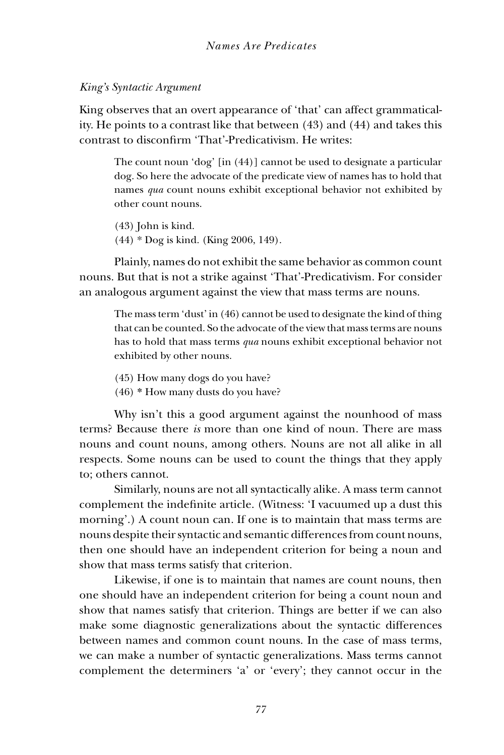### King's Syntactic Argument

King observes that an overt appearance of 'that' can affect grammaticality. He points to a contrast like that between (43) and (44) and takes this contrast to disconfirm 'That'-Predicativism. He writes:

The count noun 'dog' [in (44)] cannot be used to designate a particular dog. So here the advocate of the predicate view of names has to hold that names qua count nouns exhibit exceptional behavior not exhibited by other count nouns.

(43) John is kind. (44) \* Dog is kind. (King 2006, 149).

Plainly, names do not exhibit the same behavior as common count nouns. But that is not a strike against 'That'-Predicativism. For consider an analogous argument against the view that mass terms are nouns.

The mass term 'dust' in (46) cannot be used to designate the kind of thing that can be counted. So the advocate of the view that mass terms are nouns has to hold that mass terms qua nouns exhibit exceptional behavior not exhibited by other nouns.

- (45) How many dogs do you have?
- (46) \* How many dusts do you have?

Why isn't this a good argument against the nounhood of mass terms? Because there is more than one kind of noun. There are mass nouns and count nouns, among others. Nouns are not all alike in all respects. Some nouns can be used to count the things that they apply to; others cannot.

Similarly, nouns are not all syntactically alike. A mass term cannot complement the indefinite article. (Witness: 'I vacuumed up a dust this morning'.) A count noun can. If one is to maintain that mass terms are nouns despite their syntactic and semantic differences from count nouns, then one should have an independent criterion for being a noun and show that mass terms satisfy that criterion.

Likewise, if one is to maintain that names are count nouns, then one should have an independent criterion for being a count noun and show that names satisfy that criterion. Things are better if we can also make some diagnostic generalizations about the syntactic differences between names and common count nouns. In the case of mass terms, we can make a number of syntactic generalizations. Mass terms cannot complement the determiners 'a' or 'every'; they cannot occur in the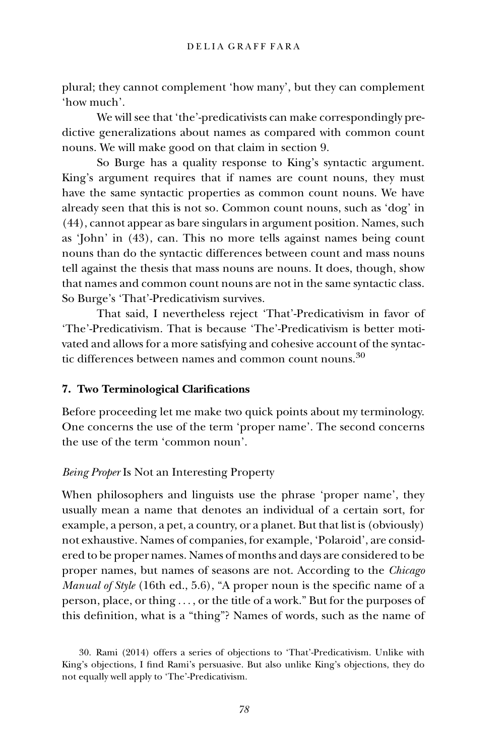plural; they cannot complement 'how many', but they can complement 'how much'.

We will see that 'the'-predicativists can make correspondingly predictive generalizations about names as compared with common count nouns. We will make good on that claim in section 9.

So Burge has a quality response to King's syntactic argument. King's argument requires that if names are count nouns, they must have the same syntactic properties as common count nouns. We have already seen that this is not so. Common count nouns, such as 'dog' in (44), cannot appear as bare singulars in argument position. Names, such as 'John' in (43), can. This no more tells against names being count nouns than do the syntactic differences between count and mass nouns tell against the thesis that mass nouns are nouns. It does, though, show that names and common count nouns are not in the same syntactic class. So Burge's 'That'-Predicativism survives.

That said, I nevertheless reject 'That'-Predicativism in favor of 'The'-Predicativism. That is because 'The'-Predicativism is better motivated and allows for a more satisfying and cohesive account of the syntactic differences between names and common count nouns.<sup>30</sup>

### 7. Two Terminological Clarifications

Before proceeding let me make two quick points about my terminology. One concerns the use of the term 'proper name'. The second concerns the use of the term 'common noun'.

### Being Proper Is Not an Interesting Property

When philosophers and linguists use the phrase 'proper name', they usually mean a name that denotes an individual of a certain sort, for example, a person, a pet, a country, or a planet. But that list is (obviously) not exhaustive. Names of companies, for example, 'Polaroid', are considered to be proper names. Names of months and days are considered to be proper names, but names of seasons are not. According to the Chicago Manual of Style (16th ed., 5.6), "A proper noun is the specific name of a person, place, or thing ... , or the title of a work." But for the purposes of this definition, what is a "thing"? Names of words, such as the name of

<sup>30.</sup> Rami (2014) offers a series of objections to 'That'-Predicativism. Unlike with King's objections, I find Rami's persuasive. But also unlike King's objections, they do not equally well apply to 'The'-Predicativism.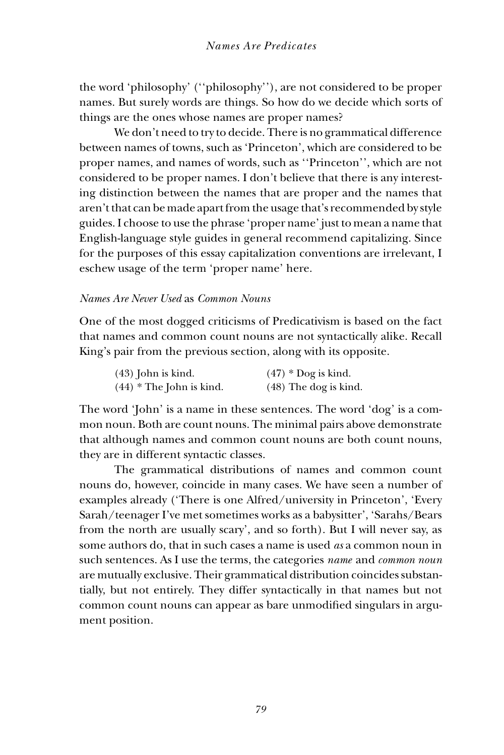the word 'philosophy' (''philosophy''), are not considered to be proper names. But surely words are things. So how do we decide which sorts of things are the ones whose names are proper names?

We don't need to try to decide. There is no grammatical difference between names of towns, such as 'Princeton', which are considered to be proper names, and names of words, such as ''Princeton'', which are not considered to be proper names. I don't believe that there is any interesting distinction between the names that are proper and the names that aren't that can be made apart from the usage that's recommended by style guides. I choose to use the phrase 'proper name' just to mean a name that English-language style guides in general recommend capitalizing. Since for the purposes of this essay capitalization conventions are irrelevant, I eschew usage of the term 'proper name' here.

# Names Are Never Used as Common Nouns

One of the most dogged criticisms of Predicativism is based on the fact that names and common count nouns are not syntactically alike. Recall King's pair from the previous section, along with its opposite.

| $(43)$ John is kind.       | $(47)$ * Dog is kind.   |
|----------------------------|-------------------------|
| $(44)$ * The John is kind. | $(48)$ The dog is kind. |

The word 'John' is a name in these sentences. The word 'dog' is a common noun. Both are count nouns. The minimal pairs above demonstrate that although names and common count nouns are both count nouns, they are in different syntactic classes.

The grammatical distributions of names and common count nouns do, however, coincide in many cases. We have seen a number of examples already ('There is one Alfred/university in Princeton', 'Every Sarah/teenager I've met sometimes works as a babysitter', 'Sarahs/Bears from the north are usually scary', and so forth). But I will never say, as some authors do, that in such cases a name is used as a common noun in such sentences. As I use the terms, the categories name and common noun are mutually exclusive. Their grammatical distribution coincides substantially, but not entirely. They differ syntactically in that names but not common count nouns can appear as bare unmodified singulars in argument position.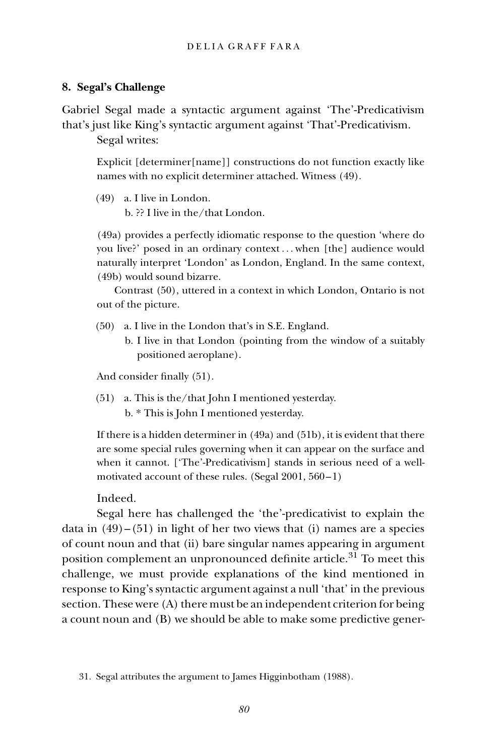#### 8. Segal's Challenge

Gabriel Segal made a syntactic argument against 'The'-Predicativism that's just like King's syntactic argument against 'That'-Predicativism.

Segal writes:

Explicit [determiner[name]] constructions do not function exactly like names with no explicit determiner attached. Witness (49).

(49) a. I live in London.

b. ?? I live in the/that London.

(49a) provides a perfectly idiomatic response to the question 'where do you live?' posed in an ordinary context ... when [the] audience would naturally interpret 'London' as London, England. In the same context, (49b) would sound bizarre.

Contrast (50), uttered in a context in which London, Ontario is not out of the picture.

- (50) a. I live in the London that's in S.E. England.
	- b. I live in that London (pointing from the window of a suitably positioned aeroplane).

And consider finally (51).

(51) a. This is the/that John I mentioned yesterday. b. \* This is John I mentioned yesterday.

If there is a hidden determiner in (49a) and (51b), it is evident that there are some special rules governing when it can appear on the surface and when it cannot. ['The'-Predicativism] stands in serious need of a wellmotivated account of these rules. (Segal 2001, 560–1)

#### Indeed.

Segal here has challenged the 'the'-predicativist to explain the data in  $(49)$ – $(51)$  in light of her two views that (i) names are a species of count noun and that (ii) bare singular names appearing in argument position complement an unpronounced definite article.<sup>31</sup> To meet this challenge, we must provide explanations of the kind mentioned in response to King's syntactic argument against a null 'that' in the previous section. These were (A) there must be an independent criterion for being a count noun and (B) we should be able to make some predictive gener-

<sup>31.</sup> Segal attributes the argument to James Higginbotham (1988).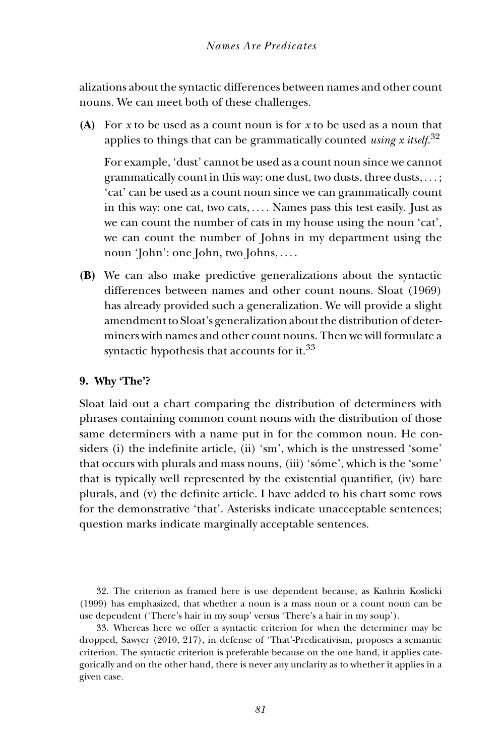alizations about the syntactic differences between names and other count nouns. We can meet both of these challenges.

(A) For  $x$  to be used as a count noun is for  $x$  to be used as a noun that applies to things that can be grammatically counted *using x itself.* $32$ 

For example, 'dust' cannot be used as a count noun since we cannot grammatically count in this way: one dust, two dusts, three dusts, ... ; 'cat' can be used as a count noun since we can grammatically count in this way: one cat, two cats, ... . Names pass this test easily. Just as we can count the number of cats in my house using the noun 'cat', we can count the number of Johns in my department using the noun 'John': one John, two Johns, ... .

(B) We can also make predictive generalizations about the syntactic differences between names and other count nouns. Sloat (1969) has already provided such a generalization. We will provide a slight amendment to Sloat's generalization about the distribution of determiners with names and other count nouns. Then we will formulate a syntactic hypothesis that accounts for it.<sup>33</sup>

# 9. Why 'The'?

Sloat laid out a chart comparing the distribution of determiners with phrases containing common count nouns with the distribution of those same determiners with a name put in for the common noun. He considers (i) the indefinite article, (ii) 'sm', which is the unstressed 'some' that occurs with plurals and mass nouns, (iii) 'sóme', which is the 'some' that is typically well represented by the existential quantifier, (iv) bare plurals, and (v) the definite article. I have added to his chart some rows for the demonstrative 'that'. Asterisks indicate unacceptable sentences; question marks indicate marginally acceptable sentences.

32. The criterion as framed here is use dependent because, as Kathrin Koslicki (1999) has emphasized, that whether a noun is a mass noun or a count noun can be use dependent ('There's hair in my soup' versus 'There's a hair in my soup').

33. Whereas here we offer a syntactic criterion for when the determiner may be dropped, Sawyer (2010, 217), in defense of 'That'-Predicativism, proposes a semantic criterion. The syntactic criterion is preferable because on the one hand, it applies categorically and on the other hand, there is never any unclarity as to whether it applies in a given case.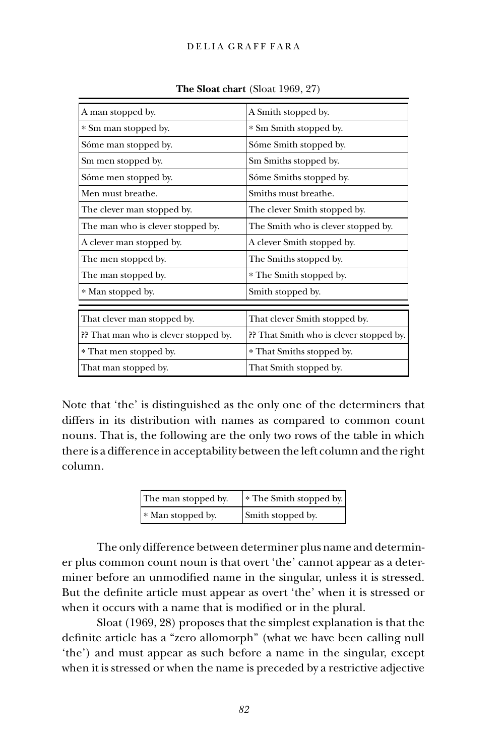#### DELIA GRAFF FARA

| A man stopped by.                     | A Smith stopped by.                     |
|---------------------------------------|-----------------------------------------|
| * Sm man stopped by.                  | * Sm Smith stopped by.                  |
| Sóme man stopped by.                  | Sóme Smith stopped by.                  |
| Sm men stopped by.                    | Sm Smiths stopped by.                   |
| Sóme men stopped by.                  | Sóme Smiths stopped by.                 |
| Men must breathe.                     | Smiths must breathe.                    |
| The clever man stopped by.            | The clever Smith stopped by.            |
| The man who is clever stopped by.     | The Smith who is clever stopped by.     |
| A clever man stopped by.              | A clever Smith stopped by.              |
| The men stopped by.                   | The Smiths stopped by.                  |
| The man stopped by.                   | * The Smith stopped by.                 |
| * Man stopped by.                     | Smith stopped by.                       |
|                                       |                                         |
| That clever man stopped by.           | That clever Smith stopped by.           |
| ?? That man who is clever stopped by. | ?? That Smith who is clever stopped by. |
| * That men stopped by.                | * That Smiths stopped by.               |
| That man stopped by.                  | That Smith stopped by.                  |

The Sloat chart (Sloat 1969, 27)

Note that 'the' is distinguished as the only one of the determiners that differs in its distribution with names as compared to common count nouns. That is, the following are the only two rows of the table in which there is a difference in acceptability between the left column and the right column.

| The man stopped by. | * The Smith stopped by. |
|---------------------|-------------------------|
| * Man stopped by.   | Smith stopped by.       |

The only difference between determiner plus name and determiner plus common count noun is that overt 'the' cannot appear as a determiner before an unmodified name in the singular, unless it is stressed. But the definite article must appear as overt 'the' when it is stressed or when it occurs with a name that is modified or in the plural.

Sloat (1969, 28) proposes that the simplest explanation is that the definite article has a "zero allomorph" (what we have been calling null 'the') and must appear as such before a name in the singular, except when it is stressed or when the name is preceded by a restrictive adjective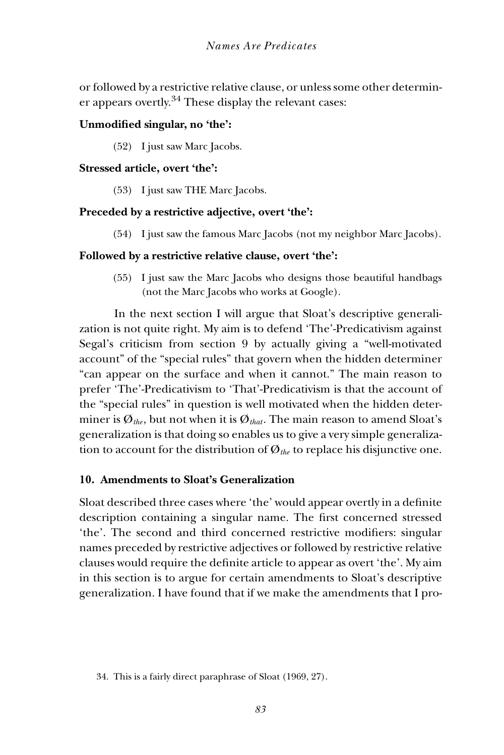or followed by a restrictive relative clause, or unless some other determiner appears overtly.<sup>34</sup> These display the relevant cases:

# Unmodified singular, no 'the':

(52) I just saw Marc Jacobs.

### Stressed article, overt 'the':

(53) I just saw THE Marc Jacobs.

### Preceded by a restrictive adjective, overt 'the':

(54) I just saw the famous Marc Jacobs (not my neighbor Marc Jacobs).

### Followed by a restrictive relative clause, overt 'the':

(55) I just saw the Marc Jacobs who designs those beautiful handbags (not the Marc Jacobs who works at Google).

In the next section I will argue that Sloat's descriptive generalization is not quite right. My aim is to defend 'The'-Predicativism against Segal's criticism from section 9 by actually giving a "well-motivated account" of the "special rules" that govern when the hidden determiner "can appear on the surface and when it cannot." The main reason to prefer 'The'-Predicativism to 'That'-Predicativism is that the account of the "special rules" in question is well motivated when the hidden determiner is  $\mathcal{O}_{the}$ , but not when it is  $\mathcal{O}_{that}$ . The main reason to amend Sloat's generalization is that doing so enables us to give a very simple generalization to account for the distribution of  $\mathcal{O}_{the}$  to replace his disjunctive one.

# 10. Amendments to Sloat's Generalization

Sloat described three cases where 'the' would appear overtly in a definite description containing a singular name. The first concerned stressed 'the'. The second and third concerned restrictive modifiers: singular names preceded by restrictive adjectives or followed by restrictive relative clauses would require the definite article to appear as overt 'the'. My aim in this section is to argue for certain amendments to Sloat's descriptive generalization. I have found that if we make the amendments that I pro-

<sup>34.</sup> This is a fairly direct paraphrase of Sloat (1969, 27).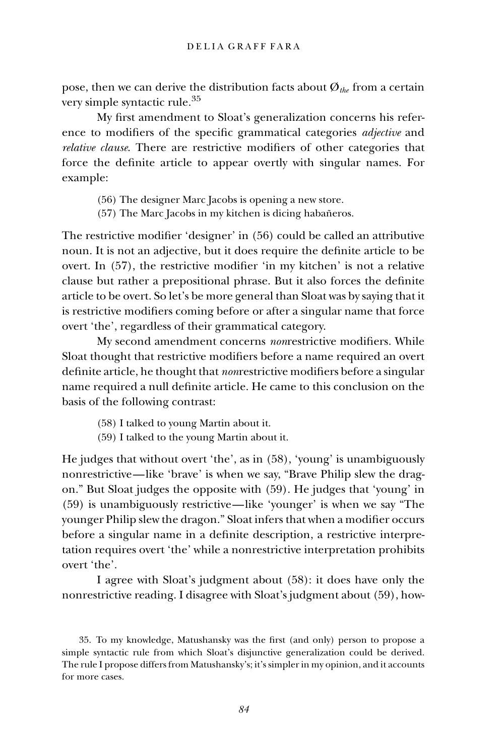pose, then we can derive the distribution facts about  $\mathcal{O}_{the}$  from a certain very simple syntactic rule.<sup>35</sup>

My first amendment to Sloat's generalization concerns his reference to modifiers of the specific grammatical categories adjective and relative clause. There are restrictive modifiers of other categories that force the definite article to appear overtly with singular names. For example:

- (56) The designer Marc Jacobs is opening a new store.
- (57) The Marc Jacobs in my kitchen is dicing haban˜eros.

The restrictive modifier 'designer' in (56) could be called an attributive noun. It is not an adjective, but it does require the definite article to be overt. In (57), the restrictive modifier 'in my kitchen' is not a relative clause but rather a prepositional phrase. But it also forces the definite article to be overt. So let's be more general than Sloat was by saying that it is restrictive modifiers coming before or after a singular name that force overt 'the', regardless of their grammatical category.

My second amendment concerns nonrestrictive modifiers. While Sloat thought that restrictive modifiers before a name required an overt definite article, he thought that nonrestrictive modifiers before a singular name required a null definite article. He came to this conclusion on the basis of the following contrast:

- (58) I talked to young Martin about it.
- (59) I talked to the young Martin about it.

He judges that without overt 'the', as in (58), 'young' is unambiguously nonrestrictive—like 'brave' is when we say, "Brave Philip slew the dragon." But Sloat judges the opposite with (59). He judges that 'young' in (59) is unambiguously restrictive—like 'younger' is when we say "The younger Philip slew the dragon." Sloat infers that when a modifier occurs before a singular name in a definite description, a restrictive interpretation requires overt 'the' while a nonrestrictive interpretation prohibits overt 'the'.

I agree with Sloat's judgment about (58): it does have only the nonrestrictive reading. I disagree with Sloat's judgment about (59), how-

35. To my knowledge, Matushansky was the first (and only) person to propose a simple syntactic rule from which Sloat's disjunctive generalization could be derived. The rule I propose differs from Matushansky's; it's simpler in my opinion, and it accounts for more cases.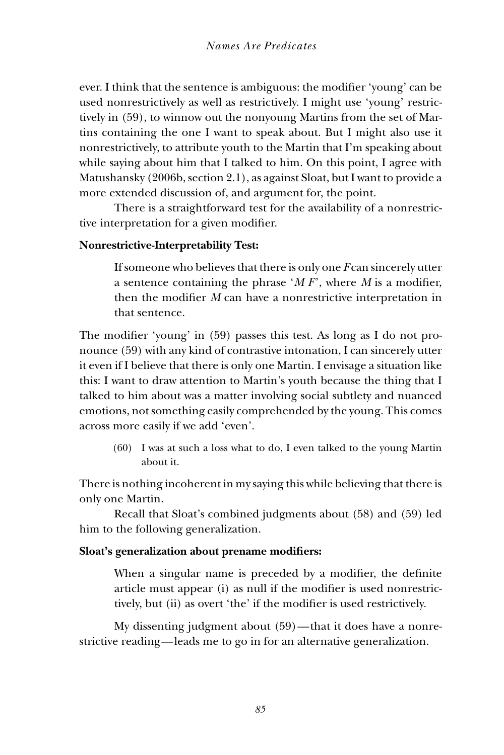ever. I think that the sentence is ambiguous: the modifier 'young' can be used nonrestrictively as well as restrictively. I might use 'young' restrictively in (59), to winnow out the nonyoung Martins from the set of Martins containing the one I want to speak about. But I might also use it nonrestrictively, to attribute youth to the Martin that I'm speaking about while saying about him that I talked to him. On this point, I agree with Matushansky (2006b, section 2.1), as against Sloat, but I want to provide a more extended discussion of, and argument for, the point.

There is a straightforward test for the availability of a nonrestrictive interpretation for a given modifier.

# Nonrestrictive-Interpretability Test:

If someone who believes that there is only one  $F$  can sincerely utter a sentence containing the phrase  $^{\prime}M$  F', where M is a modifier, then the modifier M can have a nonrestrictive interpretation in that sentence.

The modifier 'young' in (59) passes this test. As long as I do not pronounce (59) with any kind of contrastive intonation, I can sincerely utter it even if I believe that there is only one Martin. I envisage a situation like this: I want to draw attention to Martin's youth because the thing that I talked to him about was a matter involving social subtlety and nuanced emotions, not something easily comprehended by the young. This comes across more easily if we add 'even'.

(60) I was at such a loss what to do, I even talked to the young Martin about it.

There is nothing incoherent in my saying this while believing that there is only one Martin.

Recall that Sloat's combined judgments about (58) and (59) led him to the following generalization.

# Sloat's generalization about prename modifiers:

When a singular name is preceded by a modifier, the definite article must appear (i) as null if the modifier is used nonrestrictively, but (ii) as overt 'the' if the modifier is used restrictively.

My dissenting judgment about (59)—that it does have a nonrestrictive reading—leads me to go in for an alternative generalization.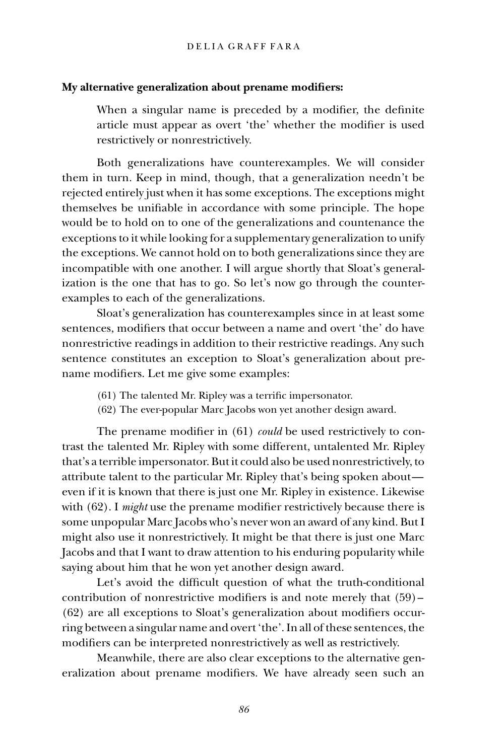#### My alternative generalization about prename modifiers:

When a singular name is preceded by a modifier, the definite article must appear as overt 'the' whether the modifier is used restrictively or nonrestrictively.

Both generalizations have counterexamples. We will consider them in turn. Keep in mind, though, that a generalization needn't be rejected entirely just when it has some exceptions. The exceptions might themselves be unifiable in accordance with some principle. The hope would be to hold on to one of the generalizations and countenance the exceptions to it while looking for a supplementary generalization to unify the exceptions. We cannot hold on to both generalizations since they are incompatible with one another. I will argue shortly that Sloat's generalization is the one that has to go. So let's now go through the counterexamples to each of the generalizations.

Sloat's generalization has counterexamples since in at least some sentences, modifiers that occur between a name and overt 'the' do have nonrestrictive readings in addition to their restrictive readings. Any such sentence constitutes an exception to Sloat's generalization about prename modifiers. Let me give some examples:

- (61) The talented Mr. Ripley was a terrific impersonator.
- (62) The ever-popular Marc Jacobs won yet another design award.

The prename modifier in (61) *could* be used restrictively to contrast the talented Mr. Ripley with some different, untalented Mr. Ripley that's a terrible impersonator. But it could also be used nonrestrictively, to attribute talent to the particular Mr. Ripley that's being spoken about even if it is known that there is just one Mr. Ripley in existence. Likewise with  $(62)$ . I *might* use the prename modifier restrictively because there is some unpopular Marc Jacobs who's never won an award of any kind. But I might also use it nonrestrictively. It might be that there is just one Marc Jacobs and that I want to draw attention to his enduring popularity while saying about him that he won yet another design award.

Let's avoid the difficult question of what the truth-conditional contribution of nonrestrictive modifiers is and note merely that (59)– (62) are all exceptions to Sloat's generalization about modifiers occurring between a singular name and overt 'the'. In all of these sentences, the modifiers can be interpreted nonrestrictively as well as restrictively.

Meanwhile, there are also clear exceptions to the alternative generalization about prename modifiers. We have already seen such an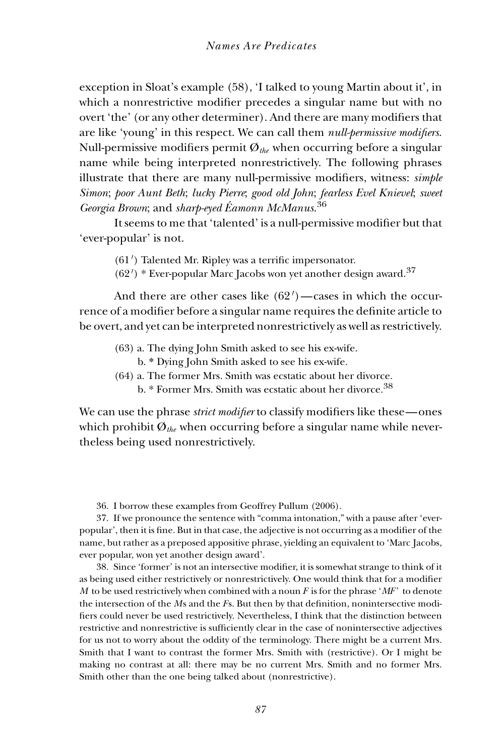exception in Sloat's example (58), 'I talked to young Martin about it', in which a nonrestrictive modifier precedes a singular name but with no overt 'the' (or any other determiner). And there are many modifiers that are like 'young' in this respect. We can call them *null-permissive modifiers*. Null-permissive modifiers permit  $\mathcal{O}_{the}$  when occurring before a singular name while being interpreted nonrestrictively. The following phrases illustrate that there are many null-permissive modifiers, witness: simple Simon; poor Aunt Beth; lucky Pierre; good old John; fearless Evel Knievel; sweet Georgia Brown; and sharp-eyed Éamonn McManus.<sup>36</sup>

It seems to me that 'talented' is a null-permissive modifier but that 'ever-popular' is not.

- (61<sup>'</sup>) Talented Mr. Ripley was a terrific impersonator.
- (62<sup>'</sup>) \* Ever-popular Marc Jacobs won yet another design award.<sup>37</sup>

And there are other cases like  $(62')$ —cases in which the occurrence of a modifier before a singular name requires the definite article to be overt, and yet can be interpreted nonrestrictively as well as restrictively.

- (63) a. The dying John Smith asked to see his ex-wife.
	- b. \* Dying John Smith asked to see his ex-wife.
- (64) a. The former Mrs. Smith was ecstatic about her divorce. b. \* Former Mrs. Smith was ecstatic about her divorce.<sup>38</sup>

We can use the phrase *strict modifier* to classify modifiers like these—ones which prohibit  $\mathcal{O}_{the}$  when occurring before a singular name while nevertheless being used nonrestrictively.

36. I borrow these examples from Geoffrey Pullum (2006).

37. If we pronounce the sentence with "comma intonation," with a pause after 'everpopular', then it is fine. But in that case, the adjective is not occurring as a modifier of the name, but rather as a preposed appositive phrase, yielding an equivalent to 'Marc Jacobs, ever popular, won yet another design award'.

38. Since 'former' is not an intersective modifier, it is somewhat strange to think of it as being used either restrictively or nonrestrictively. One would think that for a modifier M to be used restrictively when combined with a noun F is for the phrase 'MF' to denote the intersection of the  $Ms$  and the  $Fs$ . But then by that definition, nonintersective modifiers could never be used restrictively. Nevertheless, I think that the distinction between restrictive and nonrestrictive is sufficiently clear in the case of nonintersective adjectives for us not to worry about the oddity of the terminology. There might be a current Mrs. Smith that I want to contrast the former Mrs. Smith with (restrictive). Or I might be making no contrast at all: there may be no current Mrs. Smith and no former Mrs. Smith other than the one being talked about (nonrestrictive).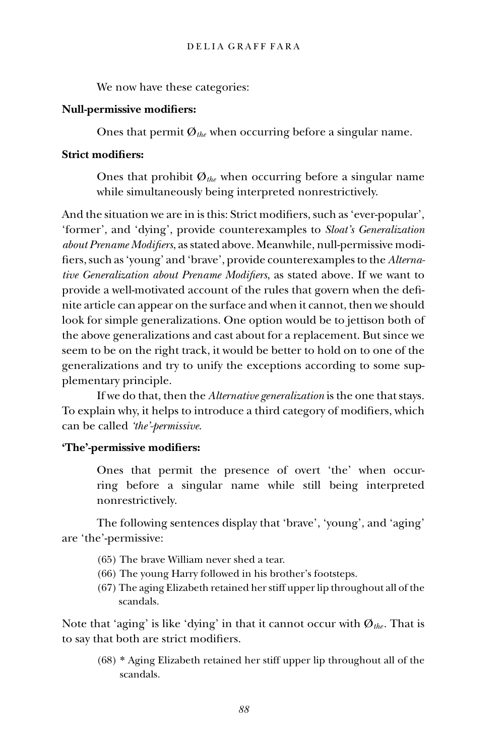We now have these categories:

# Null-permissive modifiers:

Ones that permit  $\mathcal{O}_{the}$  when occurring before a singular name.

# Strict modifiers:

Ones that prohibit  $\mathcal{O}_{the}$  when occurring before a singular name while simultaneously being interpreted nonrestrictively.

And the situation we are in is this: Strict modifiers, such as 'ever-popular', 'former', and 'dying', provide counterexamples to Sloat's Generalization about Prename Modifiers, as stated above. Meanwhile, null-permissive modifiers, such as 'young' and 'brave', provide counterexamples to the Alternative Generalization about Prename Modifiers, as stated above. If we want to provide a well-motivated account of the rules that govern when the definite article can appear on the surface and when it cannot, then we should look for simple generalizations. One option would be to jettison both of the above generalizations and cast about for a replacement. But since we seem to be on the right track, it would be better to hold on to one of the generalizations and try to unify the exceptions according to some supplementary principle.

If we do that, then the Alternative generalization is the one that stays. To explain why, it helps to introduce a third category of modifiers, which can be called 'the'-permissive.

# 'The'-permissive modifiers:

Ones that permit the presence of overt 'the' when occurring before a singular name while still being interpreted nonrestrictively.

The following sentences display that 'brave', 'young', and 'aging' are 'the'-permissive:

- (65) The brave William never shed a tear.
- (66) The young Harry followed in his brother's footsteps.
- (67) The aging Elizabeth retained her stiff upper lip throughout all of the scandals.

Note that 'aging' is like 'dying' in that it cannot occur with  $\mathcal{O}_{the}$ . That is to say that both are strict modifiers.

(68) \* Aging Elizabeth retained her stiff upper lip throughout all of the scandals.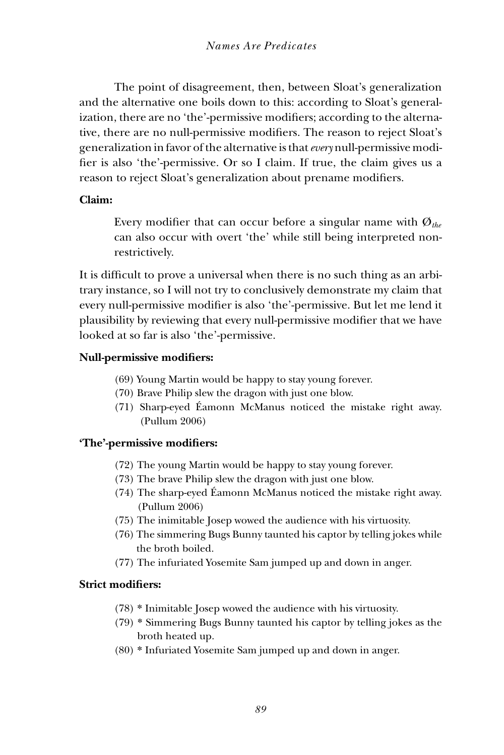The point of disagreement, then, between Sloat's generalization and the alternative one boils down to this: according to Sloat's generalization, there are no 'the'-permissive modifiers; according to the alternative, there are no null-permissive modifiers. The reason to reject Sloat's generalization in favor of the alternative is that every null-permissive modifier is also 'the'-permissive. Or so I claim. If true, the claim gives us a reason to reject Sloat's generalization about prename modifiers.

### Claim:

Every modifier that can occur before a singular name with  $\mathcal{O}_{the}$ can also occur with overt 'the' while still being interpreted nonrestrictively.

It is difficult to prove a universal when there is no such thing as an arbitrary instance, so I will not try to conclusively demonstrate my claim that every null-permissive modifier is also 'the'-permissive. But let me lend it plausibility by reviewing that every null-permissive modifier that we have looked at so far is also 'the'-permissive.

# Null-permissive modifiers:

- (69) Young Martin would be happy to stay young forever.
- (70) Brave Philip slew the dragon with just one blow.
- (71) Sharp-eyed Éamonn McManus noticed the mistake right away. (Pullum 2006)

# 'The'-permissive modifiers:

- (72) The young Martin would be happy to stay young forever.
- (73) The brave Philip slew the dragon with just one blow.
- $(74)$  The sharp-eyed Éamonn McManus noticed the mistake right away. (Pullum 2006)
- (75) The inimitable Josep wowed the audience with his virtuosity.
- (76) The simmering Bugs Bunny taunted his captor by telling jokes while the broth boiled.
- (77) The infuriated Yosemite Sam jumped up and down in anger.

### Strict modifiers:

- (78) \* Inimitable Josep wowed the audience with his virtuosity.
- (79) \* Simmering Bugs Bunny taunted his captor by telling jokes as the broth heated up.
- (80) \* Infuriated Yosemite Sam jumped up and down in anger.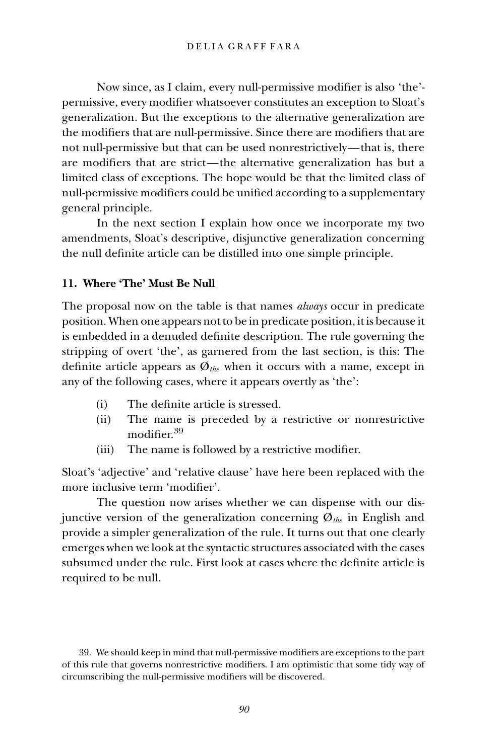Now since, as I claim, every null-permissive modifier is also 'the' permissive, every modifier whatsoever constitutes an exception to Sloat's generalization. But the exceptions to the alternative generalization are the modifiers that are null-permissive. Since there are modifiers that are not null-permissive but that can be used nonrestrictively—that is, there are modifiers that are strict—the alternative generalization has but a limited class of exceptions. The hope would be that the limited class of null-permissive modifiers could be unified according to a supplementary general principle.

In the next section I explain how once we incorporate my two amendments, Sloat's descriptive, disjunctive generalization concerning the null definite article can be distilled into one simple principle.

### 11. Where 'The' Must Be Null

The proposal now on the table is that names *always* occur in predicate position. When one appears not to be in predicate position, it is because it is embedded in a denuded definite description. The rule governing the stripping of overt 'the', as garnered from the last section, is this: The definite article appears as  $\mathcal{O}_{the}$  when it occurs with a name, except in any of the following cases, where it appears overtly as 'the':

- (i) The definite article is stressed.
- (ii) The name is preceded by a restrictive or nonrestrictive modifier.<sup>39</sup>
- (iii) The name is followed by a restrictive modifier.

Sloat's 'adjective' and 'relative clause' have here been replaced with the more inclusive term 'modifier'.

The question now arises whether we can dispense with our disjunctive version of the generalization concerning  $\mathcal{O}_{the}$  in English and provide a simpler generalization of the rule. It turns out that one clearly emerges when we look at the syntactic structures associated with the cases subsumed under the rule. First look at cases where the definite article is required to be null.

<sup>39.</sup> We should keep in mind that null-permissive modifiers are exceptions to the part of this rule that governs nonrestrictive modifiers. I am optimistic that some tidy way of circumscribing the null-permissive modifiers will be discovered.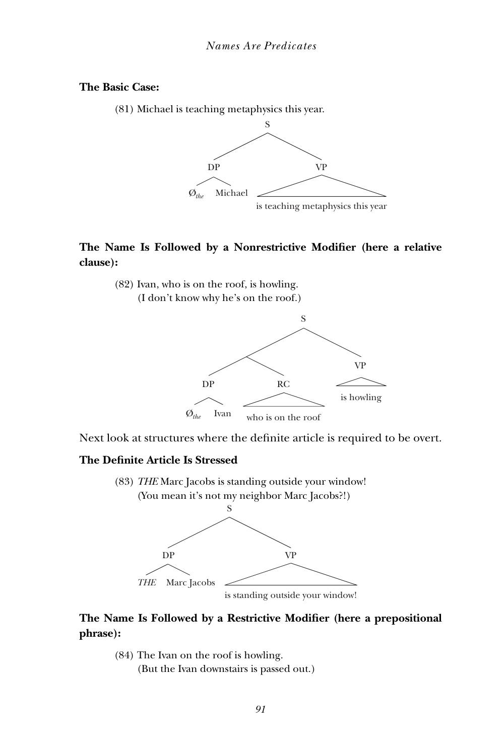# The Basic Case:

(81) Michael is teaching metaphysics this year.



# The Name Is Followed by a Nonrestrictive Modifier (here a relative clause):

(82) Ivan, who is on the roof, is howling. (I don't know why he's on the roof.)



Next look at structures where the definite article is required to be overt.

### The Definite Article Is Stressed



is standing outside your window!

# The Name Is Followed by a Restrictive Modifier (here a prepositional phrase):

(84) The Ivan on the roof is howling.

(But the Ivan downstairs is passed out.)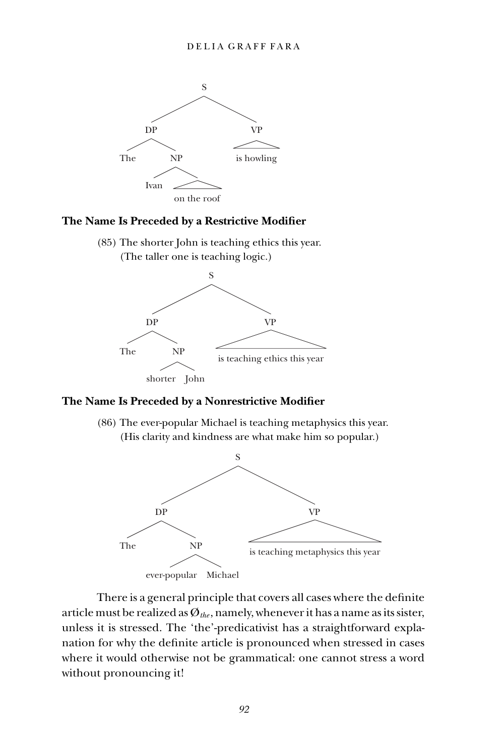

#### The Name Is Preceded by a Restrictive Modifier

(85) The shorter John is teaching ethics this year. (The taller one is teaching logic.)



#### The Name Is Preceded by a Nonrestrictive Modifier

(86) The ever-popular Michael is teaching metaphysics this year. (His clarity and kindness are what make him so popular.)



There is a general principle that covers all cases where the definite article must be realized as  $\mathcal{O}_{the}$ , namely, whenever it has a name as its sister, unless it is stressed. The 'the'-predicativist has a straightforward explanation for why the definite article is pronounced when stressed in cases where it would otherwise not be grammatical: one cannot stress a word without pronouncing it!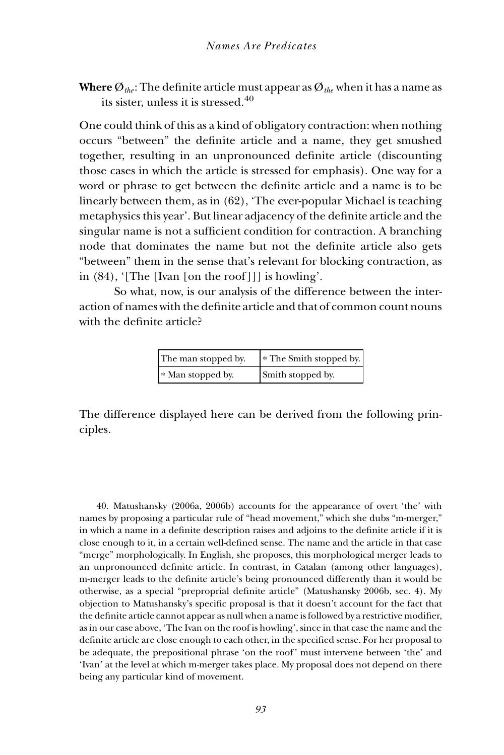**Where**  $\mathcal{O}_{the}$ : The definite article must appear as  $\mathcal{O}_{the}$  when it has a name as its sister, unless it is stressed.<sup>40</sup>

One could think of this as a kind of obligatory contraction: when nothing occurs "between" the definite article and a name, they get smushed together, resulting in an unpronounced definite article (discounting those cases in which the article is stressed for emphasis). One way for a word or phrase to get between the definite article and a name is to be linearly between them, as in (62), 'The ever-popular Michael is teaching metaphysics this year'. But linear adjacency of the definite article and the singular name is not a sufficient condition for contraction. A branching node that dominates the name but not the definite article also gets "between" them in the sense that's relevant for blocking contraction, as in (84), '[The [Ivan [on the roof]]] is howling'.

So what, now, is our analysis of the difference between the interaction of names with the definite article and that of common count nouns with the definite article?

| The man stopped by. | * The Smith stopped by. |
|---------------------|-------------------------|
| * Man stopped by.   | Smith stopped by.       |

The difference displayed here can be derived from the following principles.

40. Matushansky (2006a, 2006b) accounts for the appearance of overt 'the' with names by proposing a particular rule of "head movement," which she dubs "m-merger," in which a name in a definite description raises and adjoins to the definite article if it is close enough to it, in a certain well-defined sense. The name and the article in that case "merge" morphologically. In English, she proposes, this morphological merger leads to an unpronounced definite article. In contrast, in Catalan (among other languages), m-merger leads to the definite article's being pronounced differently than it would be otherwise, as a special "preproprial definite article" (Matushansky 2006b, sec. 4). My objection to Matushansky's specific proposal is that it doesn't account for the fact that the definite article cannot appear as null when a name is followed by a restrictive modifier, as in our case above, 'The Ivan on the roof is howling', since in that case the name and the definite article are close enough to each other, in the specified sense. For her proposal to be adequate, the prepositional phrase 'on the roof' must intervene between 'the' and 'Ivan' at the level at which m-merger takes place. My proposal does not depend on there being any particular kind of movement.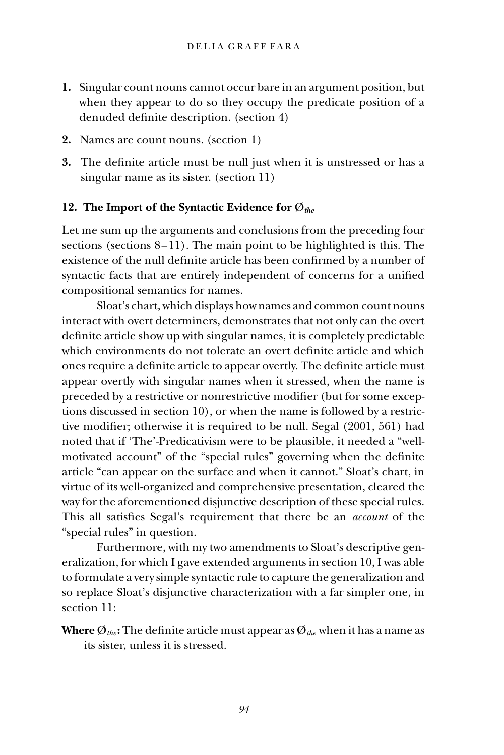- 1. Singular count nouns cannot occur bare in an argument position, but when they appear to do so they occupy the predicate position of a denuded definite description. (section 4)
- 2. Names are count nouns. (section 1)
- 3. The definite article must be null just when it is unstressed or has a singular name as its sister. (section 11)

### 12. The Import of the Syntactic Evidence for  $\mathcal{O}_{the}$

Let me sum up the arguments and conclusions from the preceding four sections (sections 8–11). The main point to be highlighted is this. The existence of the null definite article has been confirmed by a number of syntactic facts that are entirely independent of concerns for a unified compositional semantics for names.

Sloat's chart, which displays how names and common count nouns interact with overt determiners, demonstrates that not only can the overt definite article show up with singular names, it is completely predictable which environments do not tolerate an overt definite article and which ones require a definite article to appear overtly. The definite article must appear overtly with singular names when it stressed, when the name is preceded by a restrictive or nonrestrictive modifier (but for some exceptions discussed in section 10), or when the name is followed by a restrictive modifier; otherwise it is required to be null. Segal (2001, 561) had noted that if 'The'-Predicativism were to be plausible, it needed a "wellmotivated account" of the "special rules" governing when the definite article "can appear on the surface and when it cannot." Sloat's chart, in virtue of its well-organized and comprehensive presentation, cleared the way for the aforementioned disjunctive description of these special rules. This all satisfies Segal's requirement that there be an account of the "special rules" in question.

Furthermore, with my two amendments to Sloat's descriptive generalization, for which I gave extended arguments in section 10, I was able to formulate a very simple syntactic rule to capture the generalization and so replace Sloat's disjunctive characterization with a far simpler one, in section 11:

**Where**  $\mathcal{O}_{the}$ : The definite article must appear as  $\mathcal{O}_{the}$  when it has a name as its sister, unless it is stressed.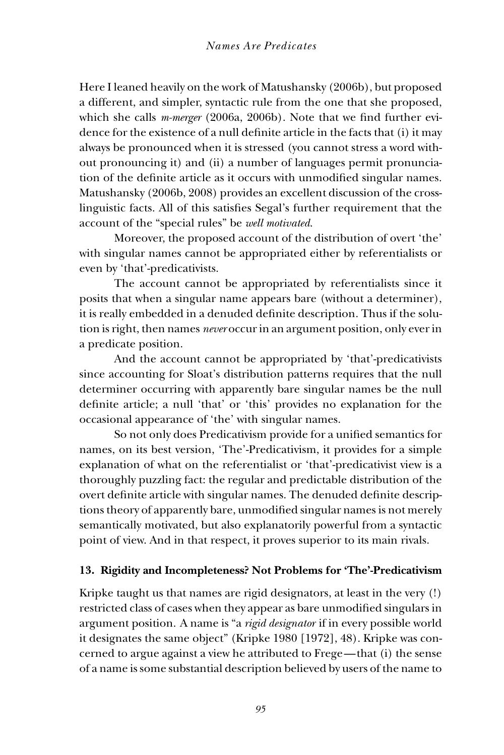Here I leaned heavily on the work of Matushansky (2006b), but proposed a different, and simpler, syntactic rule from the one that she proposed, which she calls m-merger (2006a, 2006b). Note that we find further evidence for the existence of a null definite article in the facts that (i) it may always be pronounced when it is stressed (you cannot stress a word without pronouncing it) and (ii) a number of languages permit pronunciation of the definite article as it occurs with unmodified singular names. Matushansky (2006b, 2008) provides an excellent discussion of the crosslinguistic facts. All of this satisfies Segal's further requirement that the account of the "special rules" be well motivated.

Moreover, the proposed account of the distribution of overt 'the' with singular names cannot be appropriated either by referentialists or even by 'that'-predicativists.

The account cannot be appropriated by referentialists since it posits that when a singular name appears bare (without a determiner), it is really embedded in a denuded definite description. Thus if the solution is right, then names never occur in an argument position, only ever in a predicate position.

And the account cannot be appropriated by 'that'-predicativists since accounting for Sloat's distribution patterns requires that the null determiner occurring with apparently bare singular names be the null definite article; a null 'that' or 'this' provides no explanation for the occasional appearance of 'the' with singular names.

So not only does Predicativism provide for a unified semantics for names, on its best version, 'The'-Predicativism, it provides for a simple explanation of what on the referentialist or 'that'-predicativist view is a thoroughly puzzling fact: the regular and predictable distribution of the overt definite article with singular names. The denuded definite descriptions theory of apparently bare, unmodified singular names is not merely semantically motivated, but also explanatorily powerful from a syntactic point of view. And in that respect, it proves superior to its main rivals.

# 13. Rigidity and Incompleteness? Not Problems for 'The'-Predicativism

Kripke taught us that names are rigid designators, at least in the very (!) restricted class of cases when they appear as bare unmodified singulars in argument position. A name is "a rigid designator if in every possible world it designates the same object" (Kripke 1980 [1972], 48). Kripke was concerned to argue against a view he attributed to Frege—that (i) the sense of a name is some substantial description believed by users of the name to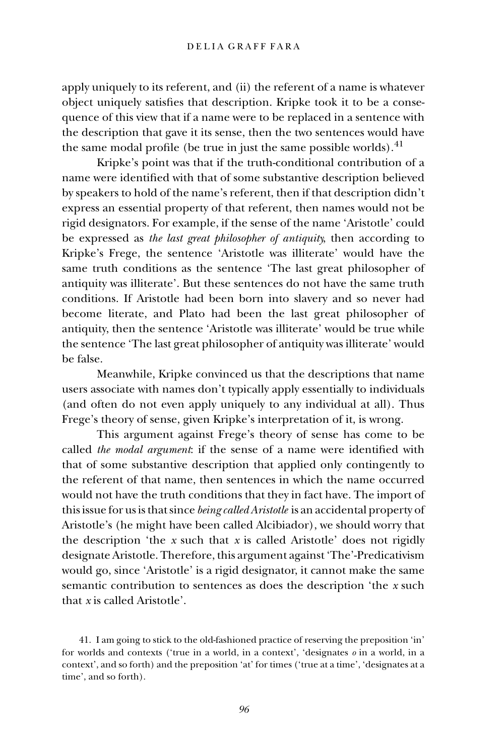apply uniquely to its referent, and (ii) the referent of a name is whatever object uniquely satisfies that description. Kripke took it to be a consequence of this view that if a name were to be replaced in a sentence with the description that gave it its sense, then the two sentences would have the same modal profile (be true in just the same possible worlds). $^{41}$ 

Kripke's point was that if the truth-conditional contribution of a name were identified with that of some substantive description believed by speakers to hold of the name's referent, then if that description didn't express an essential property of that referent, then names would not be rigid designators. For example, if the sense of the name 'Aristotle' could be expressed as the last great philosopher of antiquity, then according to Kripke's Frege, the sentence 'Aristotle was illiterate' would have the same truth conditions as the sentence 'The last great philosopher of antiquity was illiterate'. But these sentences do not have the same truth conditions. If Aristotle had been born into slavery and so never had become literate, and Plato had been the last great philosopher of antiquity, then the sentence 'Aristotle was illiterate' would be true while the sentence 'The last great philosopher of antiquity was illiterate' would be false.

Meanwhile, Kripke convinced us that the descriptions that name users associate with names don't typically apply essentially to individuals (and often do not even apply uniquely to any individual at all). Thus Frege's theory of sense, given Kripke's interpretation of it, is wrong.

This argument against Frege's theory of sense has come to be called the modal argument: if the sense of a name were identified with that of some substantive description that applied only contingently to the referent of that name, then sentences in which the name occurred would not have the truth conditions that they in fact have. The import of this issue for us is that since being called Aristotle is an accidental property of Aristotle's (he might have been called Alcibiador), we should worry that the description 'the  $x$  such that  $x$  is called Aristotle' does not rigidly designate Aristotle. Therefore, this argument against 'The'-Predicativism would go, since 'Aristotle' is a rigid designator, it cannot make the same semantic contribution to sentences as does the description 'the x such that  $x$  is called Aristotle'.

41. I am going to stick to the old-fashioned practice of reserving the preposition 'in' for worlds and contexts ('true in a world, in a context', 'designates o in a world, in a context', and so forth) and the preposition 'at' for times ('true at a time', 'designates at a time', and so forth).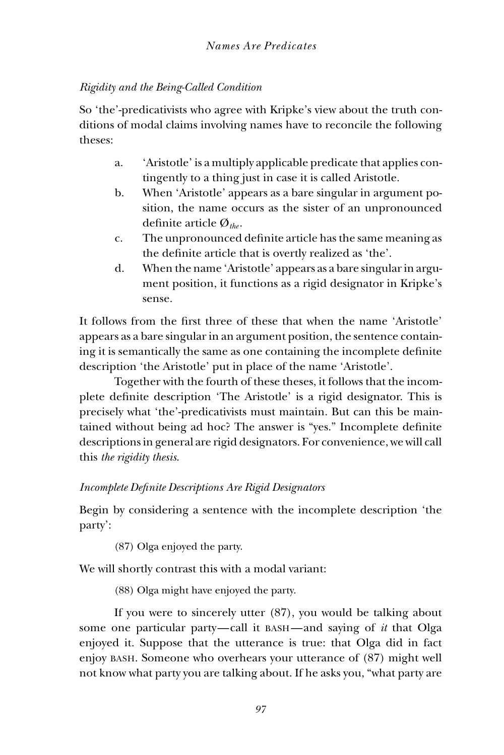# Rigidity and the Being-Called Condition

So 'the'-predicativists who agree with Kripke's view about the truth conditions of modal claims involving names have to reconcile the following theses:

- a. 'Aristotle' is a multiply applicable predicate that applies contingently to a thing just in case it is called Aristotle.
- b. When 'Aristotle' appears as a bare singular in argument position, the name occurs as the sister of an unpronounced definite article  $\mathcal{O}_{the}$ .
- c. The unpronounced definite article has the same meaning as the definite article that is overtly realized as 'the'.
- d. When the name 'Aristotle' appears as a bare singular in argument position, it functions as a rigid designator in Kripke's sense.

It follows from the first three of these that when the name 'Aristotle' appears as a bare singular in an argument position, the sentence containing it is semantically the same as one containing the incomplete definite description 'the Aristotle' put in place of the name 'Aristotle'.

Together with the fourth of these theses, it follows that the incomplete definite description 'The Aristotle' is a rigid designator. This is precisely what 'the'-predicativists must maintain. But can this be maintained without being ad hoc? The answer is "yes." Incomplete definite descriptions in general are rigid designators. For convenience, we will call this the rigidity thesis.

# Incomplete Definite Descriptions Are Rigid Designators

Begin by considering a sentence with the incomplete description 'the party':

(87) Olga enjoyed the party.

We will shortly contrast this with a modal variant:

(88) Olga might have enjoyed the party.

If you were to sincerely utter (87), you would be talking about some one particular party—call it BASH—and saying of it that Olga enjoyed it. Suppose that the utterance is true: that Olga did in fact enjoy BASH. Someone who overhears your utterance of (87) might well not know what party you are talking about. If he asks you, "what party are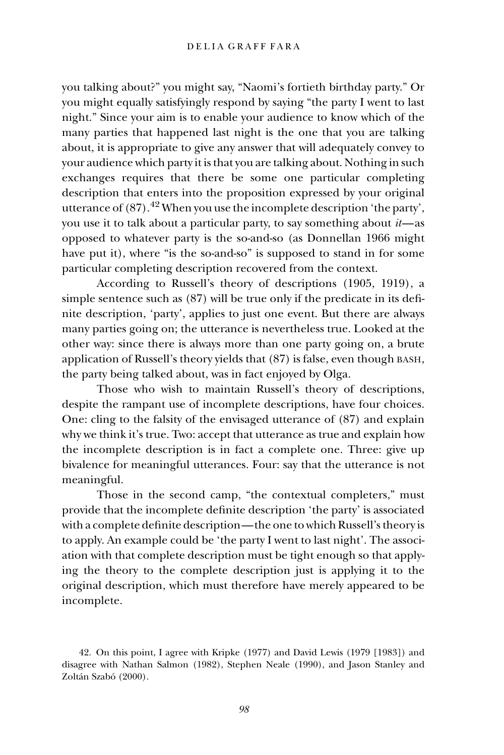you talking about?" you might say, "Naomi's fortieth birthday party." Or you might equally satisfyingly respond by saying "the party I went to last night." Since your aim is to enable your audience to know which of the many parties that happened last night is the one that you are talking about, it is appropriate to give any answer that will adequately convey to your audience which party it is that you are talking about. Nothing in such exchanges requires that there be some one particular completing description that enters into the proposition expressed by your original utterance of  $(87)$ .<sup>42</sup> When you use the incomplete description 'the party', you use it to talk about a particular party, to say something about  $it$ —as opposed to whatever party is the so-and-so (as Donnellan 1966 might have put it), where "is the so-and-so" is supposed to stand in for some particular completing description recovered from the context.

According to Russell's theory of descriptions (1905, 1919), a simple sentence such as (87) will be true only if the predicate in its definite description, 'party', applies to just one event. But there are always many parties going on; the utterance is nevertheless true. Looked at the other way: since there is always more than one party going on, a brute application of Russell's theory yields that (87) is false, even though BASH, the party being talked about, was in fact enjoyed by Olga.

Those who wish to maintain Russell's theory of descriptions, despite the rampant use of incomplete descriptions, have four choices. One: cling to the falsity of the envisaged utterance of (87) and explain why we think it's true. Two: accept that utterance as true and explain how the incomplete description is in fact a complete one. Three: give up bivalence for meaningful utterances. Four: say that the utterance is not meaningful.

Those in the second camp, "the contextual completers," must provide that the incomplete definite description 'the party' is associated with a complete definite description—the one to which Russell's theory is to apply. An example could be 'the party I went to last night'. The association with that complete description must be tight enough so that applying the theory to the complete description just is applying it to the original description, which must therefore have merely appeared to be incomplete.

<sup>42.</sup> On this point, I agree with Kripke (1977) and David Lewis (1979 [1983]) and disagree with Nathan Salmon (1982), Stephen Neale (1990), and Jason Stanley and Zoltán Szabó (2000).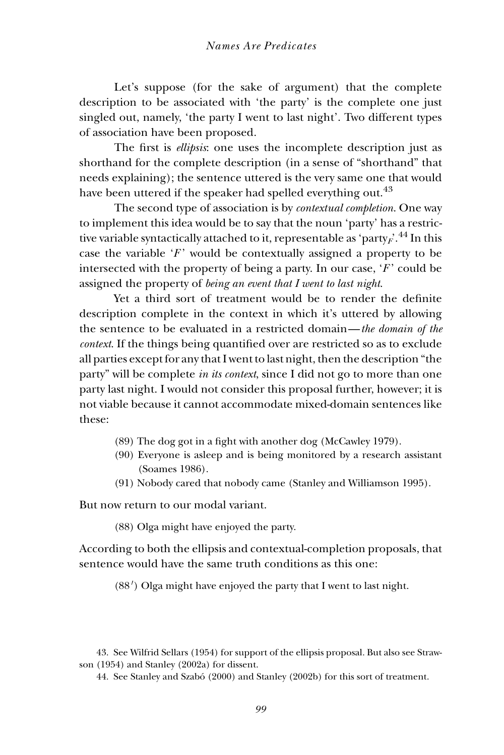Let's suppose (for the sake of argument) that the complete description to be associated with 'the party' is the complete one just singled out, namely, 'the party I went to last night'. Two different types of association have been proposed.

The first is *ellipsis*: one uses the incomplete description just as shorthand for the complete description (in a sense of "shorthand" that needs explaining); the sentence uttered is the very same one that would have been uttered if the speaker had spelled everything out.<sup>43</sup>

The second type of association is by *contextual completion*. One way to implement this idea would be to say that the noun 'party' has a restrictive variable syntactically attached to it, representable as 'party<sub>F</sub>'.<sup>44</sup> In this case the variable  $F$  would be contextually assigned a property to be intersected with the property of being a party. In our case,  $F$  could be assigned the property of being an event that I went to last night.

Yet a third sort of treatment would be to render the definite description complete in the context in which it's uttered by allowing the sentence to be evaluated in a restricted domain—the domain of the context. If the things being quantified over are restricted so as to exclude all parties except for any that I went to last night, then the description "the party" will be complete in its context, since I did not go to more than one party last night. I would not consider this proposal further, however; it is not viable because it cannot accommodate mixed-domain sentences like these:

- (89) The dog got in a fight with another dog (McCawley 1979).
- (90) Everyone is asleep and is being monitored by a research assistant (Soames 1986).
- (91) Nobody cared that nobody came (Stanley and Williamson 1995).

But now return to our modal variant.

(88) Olga might have enjoyed the party.

According to both the ellipsis and contextual-completion proposals, that sentence would have the same truth conditions as this one:

(88') Olga might have enjoyed the party that I went to last night.

44. See Stanley and Szabó (2000) and Stanley (2002b) for this sort of treatment.

<sup>43.</sup> See Wilfrid Sellars (1954) for support of the ellipsis proposal. But also see Strawson (1954) and Stanley (2002a) for dissent.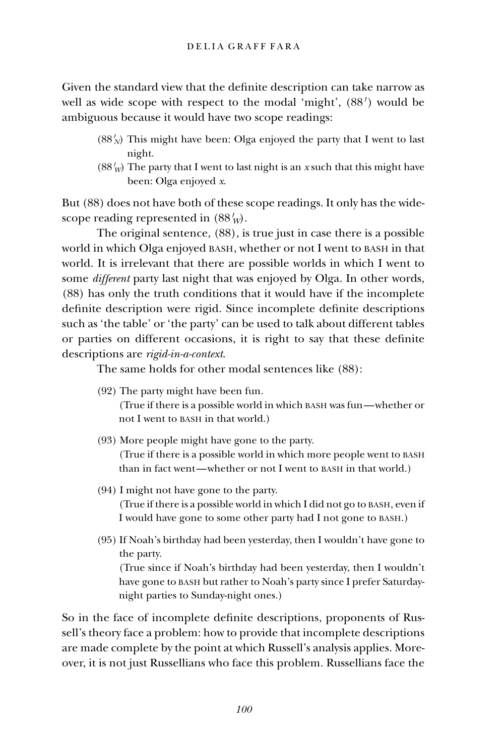Given the standard view that the definite description can take narrow as well as wide scope with respect to the modal 'might', (88') would be ambiguous because it would have two scope readings:

- $(88')$ ) This might have been: Olga enjoyed the party that I went to last night.
- (88 $'_{W}$ ) The party that I went to last night is an *x* such that this might have been: Olga enjoyed x.

But (88) does not have both of these scope readings. It only has the widescope reading represented in  $(88\,^{\prime}_{W})$ .

The original sentence, (88), is true just in case there is a possible world in which Olga enjoyed BASH, whether or not I went to BASH in that world. It is irrelevant that there are possible worlds in which I went to some *different* party last night that was enjoyed by Olga. In other words, (88) has only the truth conditions that it would have if the incomplete definite description were rigid. Since incomplete definite descriptions such as 'the table' or 'the party' can be used to talk about different tables or parties on different occasions, it is right to say that these definite descriptions are rigid-in-a-context.

The same holds for other modal sentences like (88):

(92) The party might have been fun.

(True if there is a possible world in which BASH was fun—whether or not I went to BASH in that world.)

- (93) More people might have gone to the party. (True if there is a possible world in which more people went to BASH than in fact went—whether or not I went to BASH in that world.)
- (94) I might not have gone to the party. (True if there is a possible world in which I did not go to BASH, even if I would have gone to some other party had I not gone to BASH.)
- (95) If Noah's birthday had been yesterday, then I wouldn't have gone to the party. (True since if Noah's birthday had been yesterday, then I wouldn't have gone to BASH but rather to Noah's party since I prefer Saturdaynight parties to Sunday-night ones.)

So in the face of incomplete definite descriptions, proponents of Russell's theory face a problem: how to provide that incomplete descriptions are made complete by the point at which Russell's analysis applies. Moreover, it is not just Russellians who face this problem. Russellians face the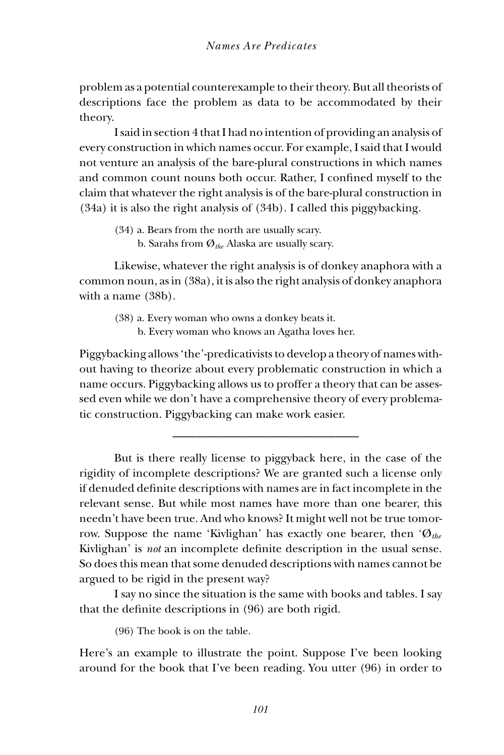problem as a potential counterexample to their theory. But all theorists of descriptions face the problem as data to be accommodated by their theory.

I said in section 4 that I had no intention of providing an analysis of every construction in which names occur. For example, I said that I would not venture an analysis of the bare-plural constructions in which names and common count nouns both occur. Rather, I confined myself to the claim that whatever the right analysis is of the bare-plural construction in (34a) it is also the right analysis of (34b). I called this piggybacking.

(34) a. Bears from the north are usually scary. b. Sarahs from  $\mathcal{O}_{the}$  Alaska are usually scary.

Likewise, whatever the right analysis is of donkey anaphora with a common noun, as in (38a), it is also the right analysis of donkey anaphora with a name (38b).

(38) a. Every woman who owns a donkey beats it. b. Every woman who knows an Agatha loves her.

Piggybacking allows 'the'-predicativists to develop a theory of names without having to theorize about every problematic construction in which a name occurs. Piggybacking allows us to proffer a theory that can be assessed even while we don't have a comprehensive theory of every problematic construction. Piggybacking can make work easier.

————————————————

But is there really license to piggyback here, in the case of the rigidity of incomplete descriptions? We are granted such a license only if denuded definite descriptions with names are in fact incomplete in the relevant sense. But while most names have more than one bearer, this needn't have been true. And who knows? It might well not be true tomorrow. Suppose the name 'Kivlighan' has exactly one bearer, then ' $\mathcal{O}_{the}$ Kivlighan' is not an incomplete definite description in the usual sense. So does this mean that some denuded descriptions with names cannot be argued to be rigid in the present way?

I say no since the situation is the same with books and tables. I say that the definite descriptions in (96) are both rigid.

(96) The book is on the table.

Here's an example to illustrate the point. Suppose I've been looking around for the book that I've been reading. You utter (96) in order to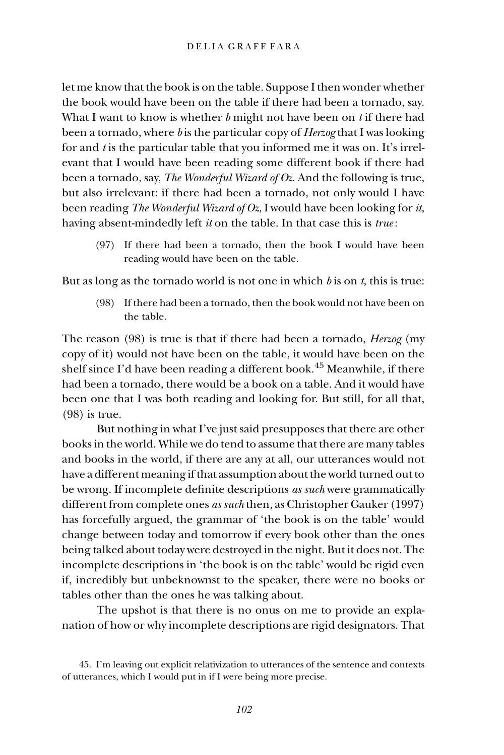let me know that the book is on the table. Suppose I then wonder whether the book would have been on the table if there had been a tornado, say. What I want to know is whether  $b$  might not have been on  $t$  if there had been a tornado, where b is the particular copy of Herzog that I was looking for and  $t$  is the particular table that you informed me it was on. It's irrelevant that I would have been reading some different book if there had been a tornado, say, The Wonderful Wizard of Oz. And the following is true, but also irrelevant: if there had been a tornado, not only would I have been reading The Wonderful Wizard of Oz, I would have been looking for it, having absent-mindedly left it on the table. In that case this is true:

(97) If there had been a tornado, then the book I would have been reading would have been on the table.

But as long as the tornado world is not one in which  $b$  is on  $t$ , this is true:

(98) If there had been a tornado, then the book would not have been on the table.

The reason (98) is true is that if there had been a tornado, *Herzog* (my copy of it) would not have been on the table, it would have been on the shelf since I'd have been reading a different book.<sup>45</sup> Meanwhile, if there had been a tornado, there would be a book on a table. And it would have been one that I was both reading and looking for. But still, for all that, (98) is true.

But nothing in what I've just said presupposes that there are other books in the world. While we do tend to assume that there are many tables and books in the world, if there are any at all, our utterances would not have a different meaning if that assumption about the world turned out to be wrong. If incomplete definite descriptions as such were grammatically different from complete ones as such then, as Christopher Gauker (1997) has forcefully argued, the grammar of 'the book is on the table' would change between today and tomorrow if every book other than the ones being talked about today were destroyed in the night. But it does not. The incomplete descriptions in 'the book is on the table' would be rigid even if, incredibly but unbeknownst to the speaker, there were no books or tables other than the ones he was talking about.

The upshot is that there is no onus on me to provide an explanation of how or why incomplete descriptions are rigid designators. That

<sup>45.</sup> I'm leaving out explicit relativization to utterances of the sentence and contexts of utterances, which I would put in if I were being more precise.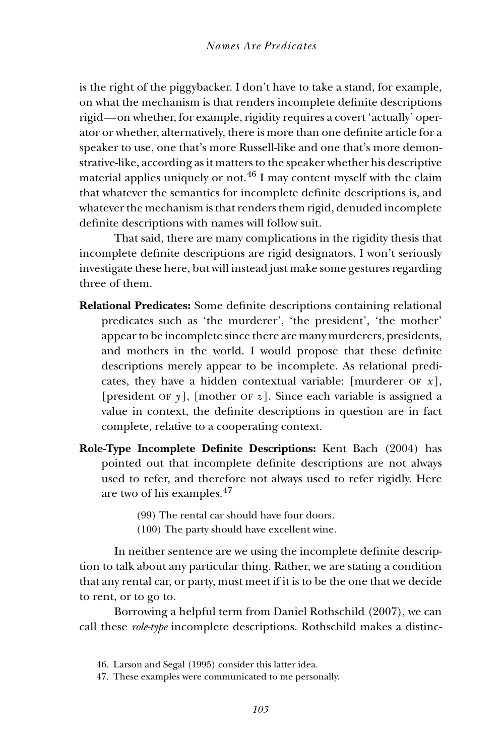is the right of the piggybacker. I don't have to take a stand, for example, on what the mechanism is that renders incomplete definite descriptions rigid—on whether, for example, rigidity requires a covert 'actually' operator or whether, alternatively, there is more than one definite article for a speaker to use, one that's more Russell-like and one that's more demonstrative-like, according as it matters to the speaker whether his descriptive material applies uniquely or not. $46$  I may content myself with the claim that whatever the semantics for incomplete definite descriptions is, and whatever the mechanism is that renders them rigid, denuded incomplete definite descriptions with names will follow suit.

That said, there are many complications in the rigidity thesis that incomplete definite descriptions are rigid designators. I won't seriously investigate these here, but will instead just make some gestures regarding three of them.

- Relational Predicates: Some definite descriptions containing relational predicates such as 'the murderer', 'the president', 'the mother' appear to be incomplete since there are many murderers, presidents, and mothers in the world. I would propose that these definite descriptions merely appear to be incomplete. As relational predicates, they have a hidden contextual variable: [murderer OF  $x$ ], [president OF  $y$ ], [mother OF z]. Since each variable is assigned a value in context, the definite descriptions in question are in fact complete, relative to a cooperating context.
- Role-Type Incomplete Definite Descriptions: Kent Bach (2004) has pointed out that incomplete definite descriptions are not always used to refer, and therefore not always used to refer rigidly. Here are two of his examples.<sup>47</sup>

(99) The rental car should have four doors.

(100) The party should have excellent wine.

In neither sentence are we using the incomplete definite description to talk about any particular thing. Rather, we are stating a condition that any rental car, or party, must meet if it is to be the one that we decide to rent, or to go to.

Borrowing a helpful term from Daniel Rothschild (2007), we can call these *role-type* incomplete descriptions. Rothschild makes a distinc-

<sup>46.</sup> Larson and Segal (1995) consider this latter idea.

<sup>47.</sup> These examples were communicated to me personally.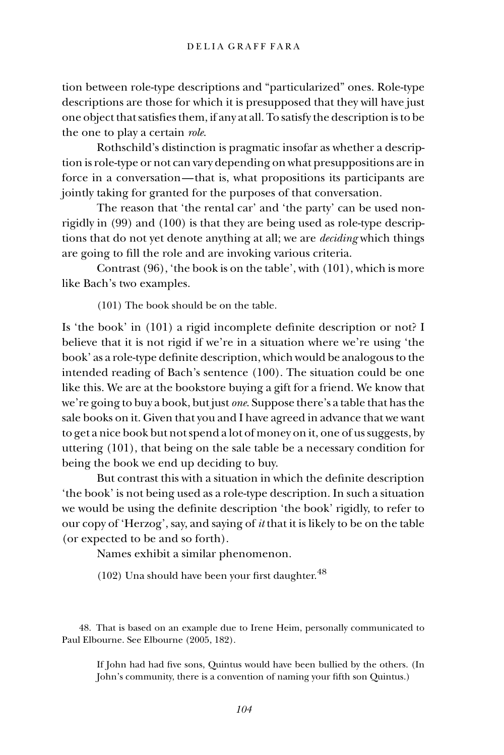tion between role-type descriptions and "particularized" ones. Role-type descriptions are those for which it is presupposed that they will have just one object that satisfies them, if any at all. To satisfy the description is to be the one to play a certain role.

Rothschild's distinction is pragmatic insofar as whether a description is role-type or not can vary depending on what presuppositions are in force in a conversation—that is, what propositions its participants are jointly taking for granted for the purposes of that conversation.

The reason that 'the rental car' and 'the party' can be used nonrigidly in (99) and (100) is that they are being used as role-type descriptions that do not yet denote anything at all; we are *deciding* which things are going to fill the role and are invoking various criteria.

Contrast (96), 'the book is on the table', with (101), which is more like Bach's two examples.

(101) The book should be on the table.

Is 'the book' in (101) a rigid incomplete definite description or not? I believe that it is not rigid if we're in a situation where we're using 'the book' as a role-type definite description, which would be analogous to the intended reading of Bach's sentence (100). The situation could be one like this. We are at the bookstore buying a gift for a friend. We know that we're going to buy a book, but just one. Suppose there's a table that has the sale books on it. Given that you and I have agreed in advance that we want to get a nice book but not spend a lot of money on it, one of us suggests, by uttering (101), that being on the sale table be a necessary condition for being the book we end up deciding to buy.

But contrast this with a situation in which the definite description 'the book' is not being used as a role-type description. In such a situation we would be using the definite description 'the book' rigidly, to refer to our copy of 'Herzog', say, and saying of it that it is likely to be on the table (or expected to be and so forth).

Names exhibit a similar phenomenon.

(102) Una should have been your first daughter.  $48$ 

48. That is based on an example due to Irene Heim, personally communicated to Paul Elbourne. See Elbourne (2005, 182).

If John had had five sons, Quintus would have been bullied by the others. (In John's community, there is a convention of naming your fifth son Quintus.)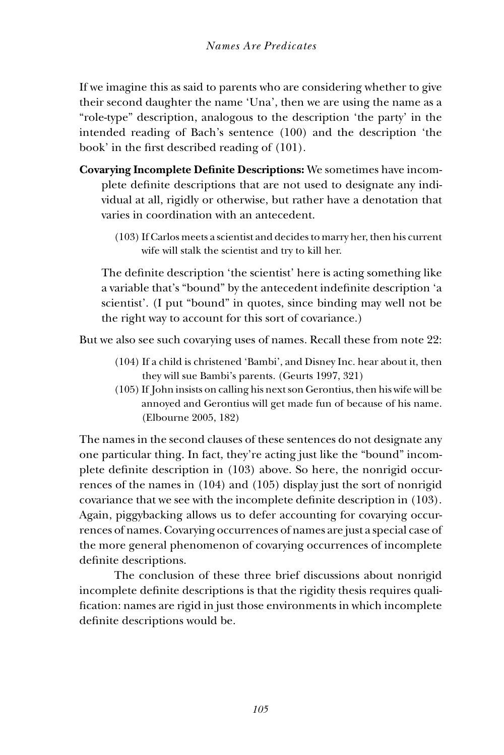If we imagine this as said to parents who are considering whether to give their second daughter the name 'Una', then we are using the name as a "role-type" description, analogous to the description 'the party' in the intended reading of Bach's sentence (100) and the description 'the book' in the first described reading of (101).

- Covarying Incomplete Definite Descriptions: We sometimes have incomplete definite descriptions that are not used to designate any individual at all, rigidly or otherwise, but rather have a denotation that varies in coordination with an antecedent.
	- (103) If Carlos meets a scientist and decides to marry her, then his current wife will stalk the scientist and try to kill her.

The definite description 'the scientist' here is acting something like a variable that's "bound" by the antecedent indefinite description 'a scientist'. (I put "bound" in quotes, since binding may well not be the right way to account for this sort of covariance.)

But we also see such covarying uses of names. Recall these from note 22:

- (104) If a child is christened 'Bambi', and Disney Inc. hear about it, then they will sue Bambi's parents. (Geurts 1997, 321)
- (105) If John insists on calling his next son Gerontius, then his wife will be annoyed and Gerontius will get made fun of because of his name. (Elbourne 2005, 182)

The names in the second clauses of these sentences do not designate any one particular thing. In fact, they're acting just like the "bound" incomplete definite description in (103) above. So here, the nonrigid occurrences of the names in (104) and (105) display just the sort of nonrigid covariance that we see with the incomplete definite description in (103). Again, piggybacking allows us to defer accounting for covarying occurrences of names. Covarying occurrences of names are just a special case of the more general phenomenon of covarying occurrences of incomplete definite descriptions.

The conclusion of these three brief discussions about nonrigid incomplete definite descriptions is that the rigidity thesis requires qualification: names are rigid in just those environments in which incomplete definite descriptions would be.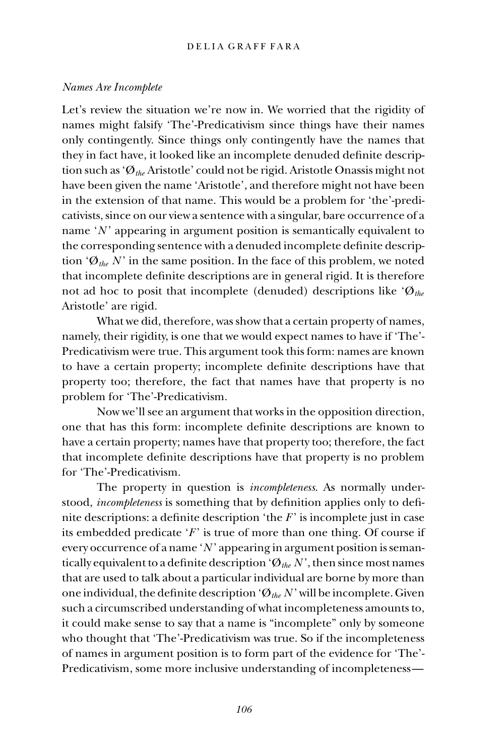#### Names Are Incomplete

Let's review the situation we're now in. We worried that the rigidity of names might falsify 'The'-Predicativism since things have their names only contingently. Since things only contingently have the names that they in fact have, it looked like an incomplete denuded definite description such as ' $\mathcal{O}_{the}$  Aristotle' could not be rigid. Aristotle Onassis might not have been given the name 'Aristotle', and therefore might not have been in the extension of that name. This would be a problem for 'the'-predicativists, since on our view a sentence with a singular, bare occurrence of a name ' $N$ ' appearing in argument position is semantically equivalent to the corresponding sentence with a denuded incomplete definite description ' $\mathcal{O}_{the}$  N' in the same position. In the face of this problem, we noted that incomplete definite descriptions are in general rigid. It is therefore not ad hoc to posit that incomplete (denuded) descriptions like  $\mathcal{O}_{the}$ Aristotle' are rigid.

What we did, therefore, was show that a certain property of names, namely, their rigidity, is one that we would expect names to have if 'The'- Predicativism were true. This argument took this form: names are known to have a certain property; incomplete definite descriptions have that property too; therefore, the fact that names have that property is no problem for 'The'-Predicativism.

Now we'll see an argument that works in the opposition direction, one that has this form: incomplete definite descriptions are known to have a certain property; names have that property too; therefore, the fact that incomplete definite descriptions have that property is no problem for 'The'-Predicativism.

The property in question is incompleteness. As normally understood, incompleteness is something that by definition applies only to definite descriptions: a definite description 'the  $F$ ' is incomplete just in case its embedded predicate ' $F$ ' is true of more than one thing. Of course if every occurrence of a name 'N' appearing in argument position is semantically equivalent to a definite description ' $\mathcal{O}_{the} N$ ', then since most names that are used to talk about a particular individual are borne by more than one individual, the definite description ' $\mathcal{O}_{the}$  N' will be incomplete. Given such a circumscribed understanding of what incompleteness amounts to, it could make sense to say that a name is "incomplete" only by someone who thought that 'The'-Predicativism was true. So if the incompleteness of names in argument position is to form part of the evidence for 'The'- Predicativism, some more inclusive understanding of incompleteness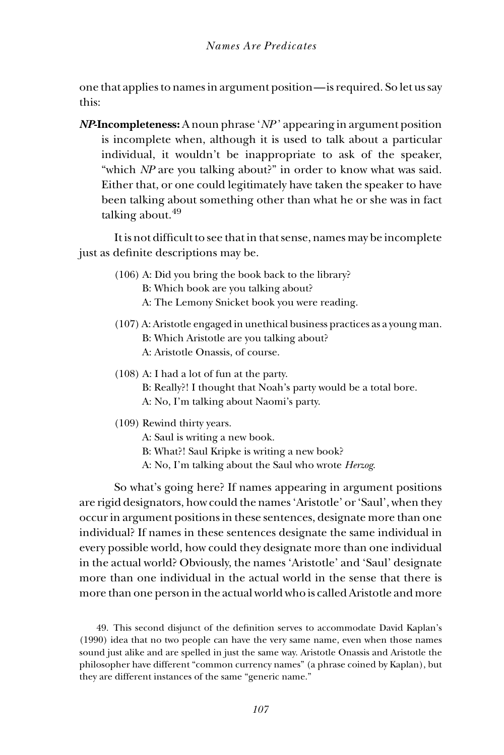one that applies to names in argument position—is required. So let us say this:

NP-Incompleteness: A noun phrase 'NP ' appearing in argument position is incomplete when, although it is used to talk about a particular individual, it wouldn't be inappropriate to ask of the speaker, "which NP are you talking about?" in order to know what was said. Either that, or one could legitimately have taken the speaker to have been talking about something other than what he or she was in fact talking about.<sup>49</sup>

It is not difficult to see that in that sense, names may be incomplete just as definite descriptions may be.

- (106) A: Did you bring the book back to the library?
	- B: Which book are you talking about?
	- A: The Lemony Snicket book you were reading.
- (107) A: Aristotle engaged in unethical business practices as a young man. B: Which Aristotle are you talking about?
	- A: Aristotle Onassis, of course.
- (108) A: I had a lot of fun at the party.
	- B: Really?! I thought that Noah's party would be a total bore.
	- A: No, I'm talking about Naomi's party.

#### (109) Rewind thirty years.

A: Saul is writing a new book.

- B: What?! Saul Kripke is writing a new book?
- A: No, I'm talking about the Saul who wrote Herzog.

So what's going here? If names appearing in argument positions are rigid designators, how could the names 'Aristotle' or 'Saul', when they occur in argument positions in these sentences, designate more than one individual? If names in these sentences designate the same individual in every possible world, how could they designate more than one individual in the actual world? Obviously, the names 'Aristotle' and 'Saul' designate more than one individual in the actual world in the sense that there is more than one person in the actual world who is called Aristotle and more

49. This second disjunct of the definition serves to accommodate David Kaplan's (1990) idea that no two people can have the very same name, even when those names sound just alike and are spelled in just the same way. Aristotle Onassis and Aristotle the philosopher have different "common currency names" (a phrase coined by Kaplan), but they are different instances of the same "generic name."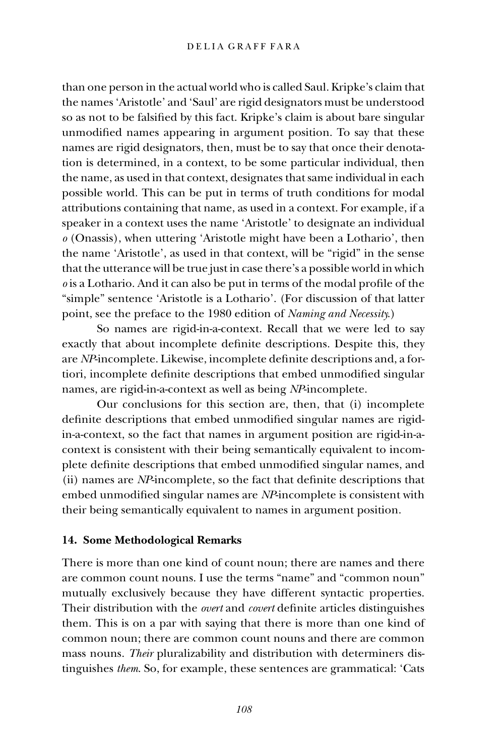than one person in the actual world who is called Saul. Kripke's claim that the names 'Aristotle' and 'Saul' are rigid designators must be understood so as not to be falsified by this fact. Kripke's claim is about bare singular unmodified names appearing in argument position. To say that these names are rigid designators, then, must be to say that once their denotation is determined, in a context, to be some particular individual, then the name, as used in that context, designates that same individual in each possible world. This can be put in terms of truth conditions for modal attributions containing that name, as used in a context. For example, if a speaker in a context uses the name 'Aristotle' to designate an individual o (Onassis), when uttering 'Aristotle might have been a Lothario', then the name 'Aristotle', as used in that context, will be "rigid" in the sense that the utterance will be true just in case there's a possible world in which o is a Lothario. And it can also be put in terms of the modal profile of the "simple" sentence 'Aristotle is a Lothario'. (For discussion of that latter point, see the preface to the 1980 edition of Naming and Necessity.)

So names are rigid-in-a-context. Recall that we were led to say exactly that about incomplete definite descriptions. Despite this, they are NP-incomplete. Likewise, incomplete definite descriptions and, a fortiori, incomplete definite descriptions that embed unmodified singular names, are rigid-in-a-context as well as being NP-incomplete.

Our conclusions for this section are, then, that (i) incomplete definite descriptions that embed unmodified singular names are rigidin-a-context, so the fact that names in argument position are rigid-in-acontext is consistent with their being semantically equivalent to incomplete definite descriptions that embed unmodified singular names, and (ii) names are NP-incomplete, so the fact that definite descriptions that embed unmodified singular names are NP-incomplete is consistent with their being semantically equivalent to names in argument position.

### 14. Some Methodological Remarks

There is more than one kind of count noun; there are names and there are common count nouns. I use the terms "name" and "common noun" mutually exclusively because they have different syntactic properties. Their distribution with the *overt* and *covert* definite articles distinguishes them. This is on a par with saying that there is more than one kind of common noun; there are common count nouns and there are common mass nouns. Their pluralizability and distribution with determiners distinguishes them. So, for example, these sentences are grammatical: 'Cats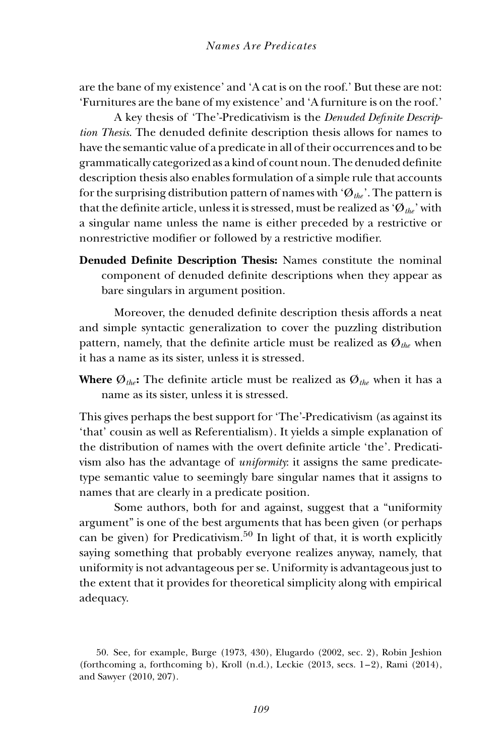are the bane of my existence' and 'A cat is on the roof.' But these are not: 'Furnitures are the bane of my existence' and 'A furniture is on the roof.'

A key thesis of 'The'-Predicativism is the Denuded Definite Description Thesis. The denuded definite description thesis allows for names to have the semantic value of a predicate in all of their occurrences and to be grammatically categorized as a kind of count noun. The denuded definite description thesis also enables formulation of a simple rule that accounts for the surprising distribution pattern of names with ' $\mathcal{O}_{the}$ '. The pattern is that the definite article, unless it is stressed, must be realized as ' $\mathcal{O}_{the}$ ' with a singular name unless the name is either preceded by a restrictive or nonrestrictive modifier or followed by a restrictive modifier.

Denuded Definite Description Thesis: Names constitute the nominal component of denuded definite descriptions when they appear as bare singulars in argument position.

Moreover, the denuded definite description thesis affords a neat and simple syntactic generalization to cover the puzzling distribution pattern, namely, that the definite article must be realized as  $\mathcal{O}_{the}$  when it has a name as its sister, unless it is stressed.

**Where**  $\emptyset_{the}$ : The definite article must be realized as  $\emptyset_{the}$  when it has a name as its sister, unless it is stressed.

This gives perhaps the best support for 'The'-Predicativism (as against its 'that' cousin as well as Referentialism). It yields a simple explanation of the distribution of names with the overt definite article 'the'. Predicativism also has the advantage of uniformity: it assigns the same predicatetype semantic value to seemingly bare singular names that it assigns to names that are clearly in a predicate position.

Some authors, both for and against, suggest that a "uniformity argument" is one of the best arguments that has been given (or perhaps can be given) for Predicativism.<sup>50</sup> In light of that, it is worth explicitly saying something that probably everyone realizes anyway, namely, that uniformity is not advantageous per se. Uniformity is advantageous just to the extent that it provides for theoretical simplicity along with empirical adequacy.

<sup>50.</sup> See, for example, Burge (1973, 430), Elugardo (2002, sec. 2), Robin Jeshion (forthcoming a, forthcoming b), Kroll (n.d.), Leckie (2013, secs. 1–2), Rami (2014), and Sawyer (2010, 207).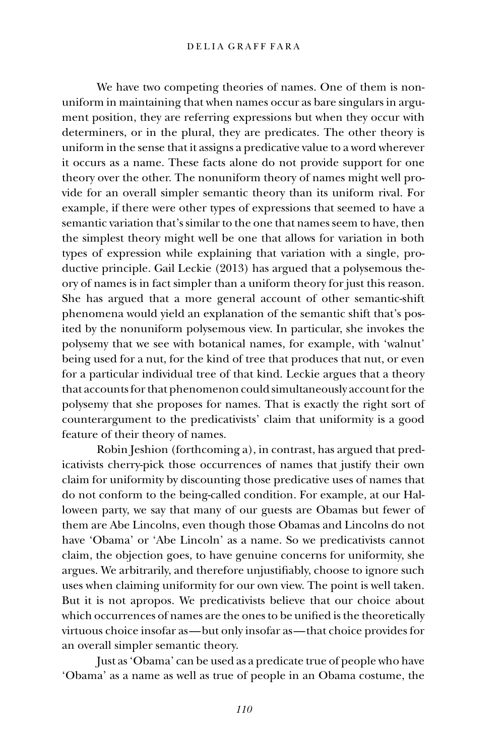#### DELIA GRAFF FARA

We have two competing theories of names. One of them is nonuniform in maintaining that when names occur as bare singulars in argument position, they are referring expressions but when they occur with determiners, or in the plural, they are predicates. The other theory is uniform in the sense that it assigns a predicative value to a word wherever it occurs as a name. These facts alone do not provide support for one theory over the other. The nonuniform theory of names might well provide for an overall simpler semantic theory than its uniform rival. For example, if there were other types of expressions that seemed to have a semantic variation that's similar to the one that names seem to have, then the simplest theory might well be one that allows for variation in both types of expression while explaining that variation with a single, productive principle. Gail Leckie (2013) has argued that a polysemous theory of names is in fact simpler than a uniform theory for just this reason. She has argued that a more general account of other semantic-shift phenomena would yield an explanation of the semantic shift that's posited by the nonuniform polysemous view. In particular, she invokes the polysemy that we see with botanical names, for example, with 'walnut' being used for a nut, for the kind of tree that produces that nut, or even for a particular individual tree of that kind. Leckie argues that a theory that accounts for that phenomenon could simultaneously account for the polysemy that she proposes for names. That is exactly the right sort of counterargument to the predicativists' claim that uniformity is a good feature of their theory of names.

Robin Jeshion (forthcoming a), in contrast, has argued that predicativists cherry-pick those occurrences of names that justify their own claim for uniformity by discounting those predicative uses of names that do not conform to the being-called condition. For example, at our Halloween party, we say that many of our guests are Obamas but fewer of them are Abe Lincolns, even though those Obamas and Lincolns do not have 'Obama' or 'Abe Lincoln' as a name. So we predicativists cannot claim, the objection goes, to have genuine concerns for uniformity, she argues. We arbitrarily, and therefore unjustifiably, choose to ignore such uses when claiming uniformity for our own view. The point is well taken. But it is not apropos. We predicativists believe that our choice about which occurrences of names are the ones to be unified is the theoretically virtuous choice insofar as—but only insofar as—that choice provides for an overall simpler semantic theory.

Just as 'Obama' can be used as a predicate true of people who have 'Obama' as a name as well as true of people in an Obama costume, the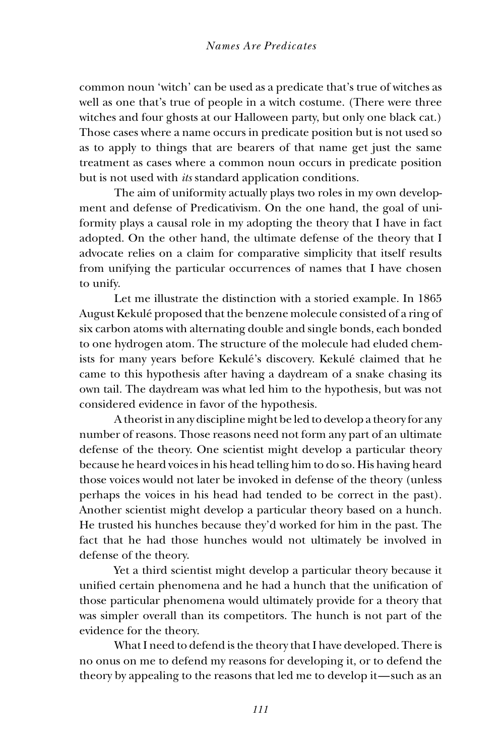common noun 'witch' can be used as a predicate that's true of witches as well as one that's true of people in a witch costume. (There were three witches and four ghosts at our Halloween party, but only one black cat.) Those cases where a name occurs in predicate position but is not used so as to apply to things that are bearers of that name get just the same treatment as cases where a common noun occurs in predicate position but is not used with its standard application conditions.

The aim of uniformity actually plays two roles in my own development and defense of Predicativism. On the one hand, the goal of uniformity plays a causal role in my adopting the theory that I have in fact adopted. On the other hand, the ultimate defense of the theory that I advocate relies on a claim for comparative simplicity that itself results from unifying the particular occurrences of names that I have chosen to unify.

Let me illustrate the distinction with a storied example. In 1865 August Kekulé proposed that the benzene molecule consisted of a ring of six carbon atoms with alternating double and single bonds, each bonded to one hydrogen atom. The structure of the molecule had eluded chemists for many years before Kekulé's discovery. Kekulé claimed that he came to this hypothesis after having a daydream of a snake chasing its own tail. The daydream was what led him to the hypothesis, but was not considered evidence in favor of the hypothesis.

A theorist in any discipline might be led to develop a theory for any number of reasons. Those reasons need not form any part of an ultimate defense of the theory. One scientist might develop a particular theory because he heard voices in his head telling him to do so. His having heard those voices would not later be invoked in defense of the theory (unless perhaps the voices in his head had tended to be correct in the past). Another scientist might develop a particular theory based on a hunch. He trusted his hunches because they'd worked for him in the past. The fact that he had those hunches would not ultimately be involved in defense of the theory.

Yet a third scientist might develop a particular theory because it unified certain phenomena and he had a hunch that the unification of those particular phenomena would ultimately provide for a theory that was simpler overall than its competitors. The hunch is not part of the evidence for the theory.

What I need to defend is the theory that I have developed. There is no onus on me to defend my reasons for developing it, or to defend the theory by appealing to the reasons that led me to develop it—such as an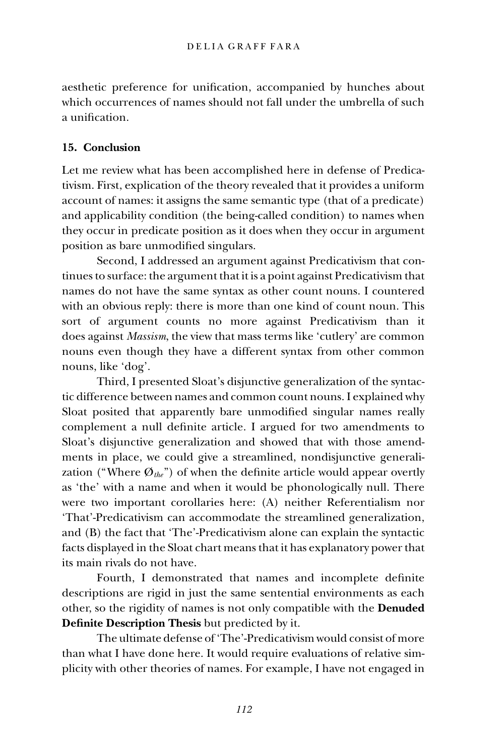aesthetic preference for unification, accompanied by hunches about which occurrences of names should not fall under the umbrella of such a unification.

# 15. Conclusion

Let me review what has been accomplished here in defense of Predicativism. First, explication of the theory revealed that it provides a uniform account of names: it assigns the same semantic type (that of a predicate) and applicability condition (the being-called condition) to names when they occur in predicate position as it does when they occur in argument position as bare unmodified singulars.

Second, I addressed an argument against Predicativism that continues to surface: the argument that it is a point against Predicativism that names do not have the same syntax as other count nouns. I countered with an obvious reply: there is more than one kind of count noun. This sort of argument counts no more against Predicativism than it does against Massism, the view that mass terms like 'cutlery' are common nouns even though they have a different syntax from other common nouns, like 'dog'.

Third, I presented Sloat's disjunctive generalization of the syntactic difference between names and common count nouns. I explained why Sloat posited that apparently bare unmodified singular names really complement a null definite article. I argued for two amendments to Sloat's disjunctive generalization and showed that with those amendments in place, we could give a streamlined, nondisjunctive generalization ("Where  $\mathcal{O}_{the}$ ") of when the definite article would appear overtly as 'the' with a name and when it would be phonologically null. There were two important corollaries here: (A) neither Referentialism nor 'That'-Predicativism can accommodate the streamlined generalization, and (B) the fact that 'The'-Predicativism alone can explain the syntactic facts displayed in the Sloat chart means that it has explanatory power that its main rivals do not have.

Fourth, I demonstrated that names and incomplete definite descriptions are rigid in just the same sentential environments as each other, so the rigidity of names is not only compatible with the Denuded Definite Description Thesis but predicted by it.

The ultimate defense of 'The'-Predicativism would consist of more than what I have done here. It would require evaluations of relative simplicity with other theories of names. For example, I have not engaged in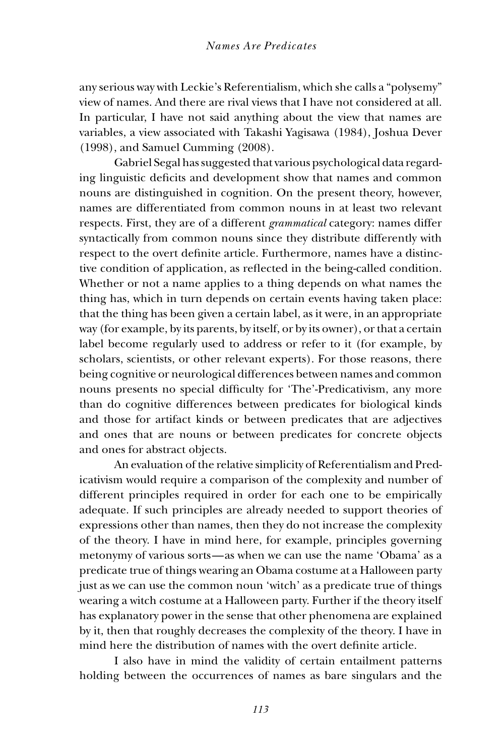any serious way with Leckie's Referentialism, which she calls a "polysemy" view of names. And there are rival views that I have not considered at all. In particular, I have not said anything about the view that names are variables, a view associated with Takashi Yagisawa (1984), Joshua Dever (1998), and Samuel Cumming (2008).

Gabriel Segal has suggested that various psychological data regarding linguistic deficits and development show that names and common nouns are distinguished in cognition. On the present theory, however, names are differentiated from common nouns in at least two relevant respects. First, they are of a different grammatical category: names differ syntactically from common nouns since they distribute differently with respect to the overt definite article. Furthermore, names have a distinctive condition of application, as reflected in the being-called condition. Whether or not a name applies to a thing depends on what names the thing has, which in turn depends on certain events having taken place: that the thing has been given a certain label, as it were, in an appropriate way (for example, by its parents, by itself, or by its owner), or that a certain label become regularly used to address or refer to it (for example, by scholars, scientists, or other relevant experts). For those reasons, there being cognitive or neurological differences between names and common nouns presents no special difficulty for 'The'-Predicativism, any more than do cognitive differences between predicates for biological kinds and those for artifact kinds or between predicates that are adjectives and ones that are nouns or between predicates for concrete objects and ones for abstract objects.

An evaluation of the relative simplicity of Referentialism and Predicativism would require a comparison of the complexity and number of different principles required in order for each one to be empirically adequate. If such principles are already needed to support theories of expressions other than names, then they do not increase the complexity of the theory. I have in mind here, for example, principles governing metonymy of various sorts—as when we can use the name 'Obama' as a predicate true of things wearing an Obama costume at a Halloween party just as we can use the common noun 'witch' as a predicate true of things wearing a witch costume at a Halloween party. Further if the theory itself has explanatory power in the sense that other phenomena are explained by it, then that roughly decreases the complexity of the theory. I have in mind here the distribution of names with the overt definite article.

I also have in mind the validity of certain entailment patterns holding between the occurrences of names as bare singulars and the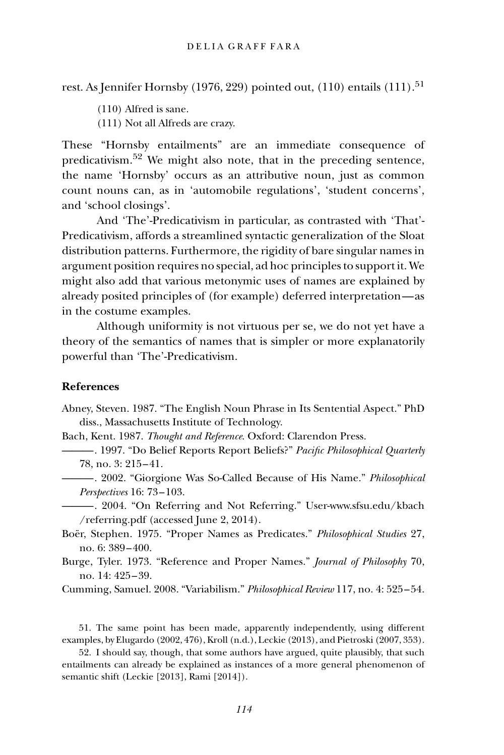rest. As Jennifer Hornsby (1976, 229) pointed out,  $(110)$  entails  $(111).<sup>51</sup>$ 

(110) Alfred is sane.

(111) Not all Alfreds are crazy.

These "Hornsby entailments" are an immediate consequence of predicativism.52 We might also note, that in the preceding sentence, the name 'Hornsby' occurs as an attributive noun, just as common count nouns can, as in 'automobile regulations', 'student concerns', and 'school closings'.

And 'The'-Predicativism in particular, as contrasted with 'That'- Predicativism, affords a streamlined syntactic generalization of the Sloat distribution patterns. Furthermore, the rigidity of bare singular names in argument position requires no special, ad hoc principles to support it. We might also add that various metonymic uses of names are explained by already posited principles of (for example) deferred interpretation—as in the costume examples.

Although uniformity is not virtuous per se, we do not yet have a theory of the semantics of names that is simpler or more explanatorily powerful than 'The'-Predicativism.

### References

Abney, Steven. 1987. "The English Noun Phrase in Its Sentential Aspect." PhD diss., Massachusetts Institute of Technology.

Bach, Kent. 1987. Thought and Reference. Oxford: Clarendon Press.

- 1997. "Do Belief Reports Report Beliefs?" Pacific Philosophical Quarterly 78, no. 3: 215–41.
- ———. 2002. "Giorgione Was So-Called Because of His Name." Philosophical Perspectives 16: 73–103.

———. 2004. "On Referring and Not Referring." User-www.sfsu.edu/kbach /referring.pdf (accessed June 2, 2014).

- Boër, Stephen. 1975. "Proper Names as Predicates." Philosophical Studies 27, no. 6: 389–400.
- Burge, Tyler. 1973. "Reference and Proper Names." Journal of Philosophy 70, no. 14: 425–39.

Cumming, Samuel. 2008. "Variabilism." Philosophical Review 117, no. 4: 525–54.

51. The same point has been made, apparently independently, using different examples, by Elugardo (2002, 476), Kroll (n.d.), Leckie (2013), and Pietroski (2007, 353).

52. I should say, though, that some authors have argued, quite plausibly, that such entailments can already be explained as instances of a more general phenomenon of semantic shift (Leckie [2013], Rami [2014]).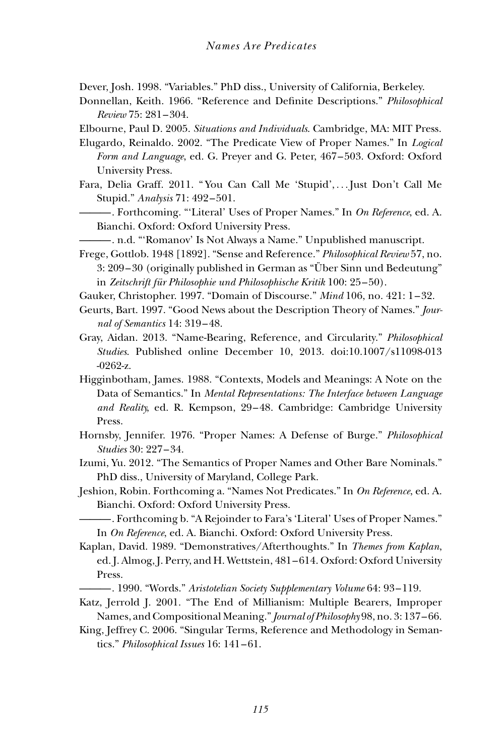Dever, Josh. 1998. "Variables." PhD diss., University of California, Berkeley.

- Donnellan, Keith. 1966. "Reference and Definite Descriptions." Philosophical Review 75: 281–304.
- Elbourne, Paul D. 2005. Situations and Individuals. Cambridge, MA: MIT Press.
- Elugardo, Reinaldo. 2002. "The Predicate View of Proper Names." In Logical Form and Language, ed. G. Preyer and G. Peter, 467–503. Oxford: Oxford University Press.
- Fara, Delia Graff. 2011. " You Can Call Me 'Stupid', ...Just Don't Call Me Stupid." Analysis 71: 492–501.
	- Forthcoming. "'Literal' Uses of Proper Names." In On Reference, ed. A. Bianchi. Oxford: Oxford University Press.
	- ———. n.d. "'Romanov' Is Not Always a Name." Unpublished manuscript.
- Frege, Gottlob. 1948 [1892]. "Sense and Reference." Philosophical Review 57, no. 3: 209–30 (originally published in German as "Über Sinn und Bedeutung" in Zeitschrift für Philosophie und Philosophische Kritik 100: 25–50).
- Gauker, Christopher. 1997. "Domain of Discourse." Mind 106, no. 421: 1–32.
- Geurts, Bart. 1997. "Good News about the Description Theory of Names." Journal of Semantics 14: 319–48.
- Gray, Aidan. 2013. "Name-Bearing, Reference, and Circularity." Philosophical Studies. Published online December 10, 2013. doi:10.1007/s11098-013  $-0262-z$
- Higginbotham, James. 1988. "Contexts, Models and Meanings: A Note on the Data of Semantics." In Mental Representations: The Interface between Language and Reality, ed. R. Kempson, 29–48. Cambridge: Cambridge University Press.
- Hornsby, Jennifer. 1976. "Proper Names: A Defense of Burge." Philosophical Studies 30: 227–34.
- Izumi, Yu. 2012. "The Semantics of Proper Names and Other Bare Nominals." PhD diss., University of Maryland, College Park.
- Jeshion, Robin. Forthcoming a. "Names Not Predicates." In On Reference, ed. A. Bianchi. Oxford: Oxford University Press.
- ———. Forthcoming b. "A Rejoinder to Fara's 'Literal' Uses of Proper Names." In On Reference, ed. A. Bianchi. Oxford: Oxford University Press.
- Kaplan, David. 1989. "Demonstratives/Afterthoughts." In Themes from Kaplan, ed. J. Almog, J. Perry, and H. Wettstein, 481–614. Oxford: Oxford University Press.
	- ———. 1990. "Words." Aristotelian Society Supplementary Volume 64: 93–119.
- Katz, Jerrold J. 2001. "The End of Millianism: Multiple Bearers, Improper Names, and Compositional Meaning."Journal of Philosophy 98, no. 3: 137–66.
- King, Jeffrey C. 2006. "Singular Terms, Reference and Methodology in Semantics." Philosophical Issues 16: 141–61.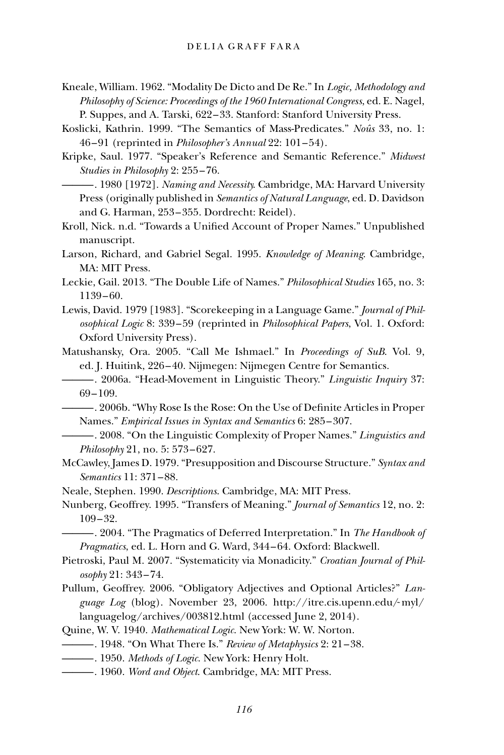- Kneale, William. 1962. "Modality De Dicto and De Re." In Logic, Methodology and Philosophy of Science: Proceedings of the 1960 International Congress, ed. E. Nagel, P. Suppes, and A. Tarski, 622–33. Stanford: Stanford University Press.
- Koslicki, Kathrin. 1999. "The Semantics of Mass-Predicates." Noûs 33, no. 1: 46–91 (reprinted in Philosopher's Annual 22: 101–54).
- Kripke, Saul. 1977. "Speaker's Reference and Semantic Reference." Midwest Studies in Philosophy 2: 255–76.
- 1980 [1972]. Naming and Necessity. Cambridge, MA: Harvard University Press (originally published in Semantics of Natural Language, ed. D. Davidson and G. Harman, 253–355. Dordrecht: Reidel).
- Kroll, Nick. n.d. "Towards a Unified Account of Proper Names." Unpublished manuscript.
- Larson, Richard, and Gabriel Segal. 1995. Knowledge of Meaning. Cambridge, MA: MIT Press.
- Leckie, Gail. 2013. "The Double Life of Names." Philosophical Studies 165, no. 3: 1139–60.
- Lewis, David. 1979 [1983]. "Scorekeeping in a Language Game." Journal of Philosophical Logic 8: 339–59 (reprinted in Philosophical Papers, Vol. 1. Oxford: Oxford University Press).
- Matushansky, Ora. 2005. "Call Me Ishmael." In Proceedings of SuB. Vol. 9, ed. J. Huitink, 226–40. Nijmegen: Nijmegen Centre for Semantics.
- ———. 2006a. "Head-Movement in Linguistic Theory." Linguistic Inquiry 37: 69–109.
	- ———. 2006b. "Why Rose Is the Rose: On the Use of Definite Articles in Proper Names." Empirical Issues in Syntax and Semantics 6: 285–307.
- ————. 2008. "On the Linguistic Complexity of Proper Names." *Linguistics and* Philosophy 21, no. 5: 573–627.
- McCawley, James D. 1979. "Presupposition and Discourse Structure." Syntax and Semantics 11: 371–88.
- Neale, Stephen. 1990. Descriptions. Cambridge, MA: MIT Press.
- Nunberg, Geoffrey. 1995. "Transfers of Meaning." *Journal of Semantics* 12, no. 2: 109–32.

**-**, 2004. "The Pragmatics of Deferred Interpretation." In The Handbook of Pragmatics, ed. L. Horn and G. Ward, 344–64. Oxford: Blackwell.

- Pietroski, Paul M. 2007. "Systematicity via Monadicity." Croatian Journal of Philosophy 21: 343–74.
- Pullum, Geoffrey. 2006. "Obligatory Adjectives and Optional Articles?" Language Log (blog). November 23, 2006. http://itre.cis.upenn.edu/~myl/ languagelog/archives/003812.html (accessed June 2, 2014).
- Quine, W. V. 1940. Mathematical Logic. New York: W. W. Norton.
- ————. 1948. "On What There Is." Review of Metaphysics 2: 21–38.
- 1950. Methods of Logic. New York: Henry Holt.
- ———. 1960. Word and Object. Cambridge, MA: MIT Press.